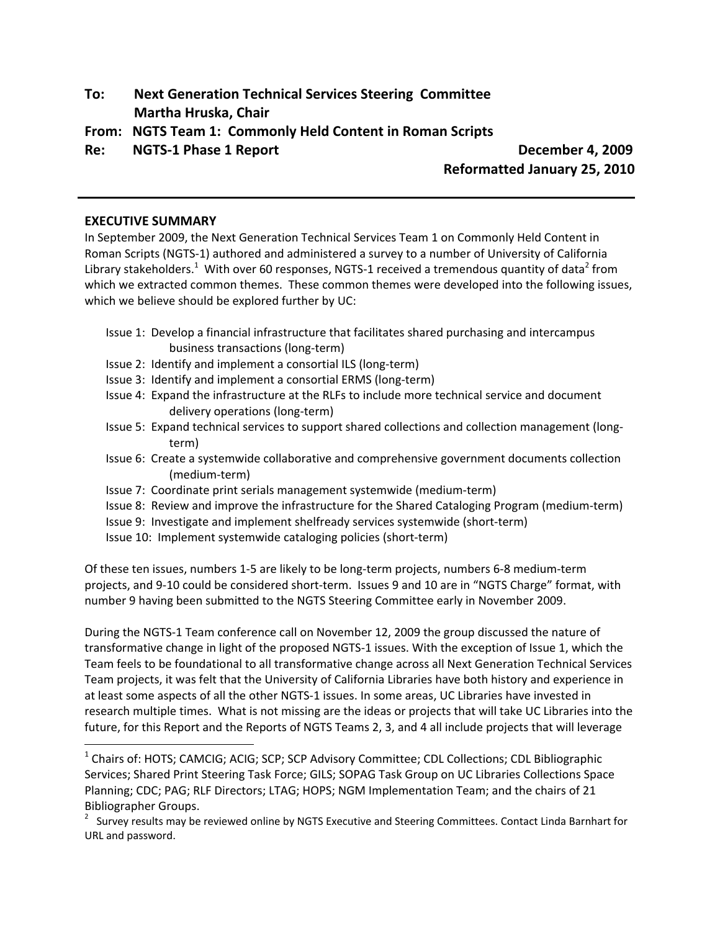- **To: Next Generation Technical Services Steering Committee Martha Hruska, Chair**
- **From: NGTS Team 1: Commonly Held Content in Roman Scripts**

**Re: NGTS‐1 Phase 1 Report December 4, 2009**

**Reformatted January 25, 2010**

### **EXECUTIVE SUMMARY**

In September 2009, the Next Generation Technical Services Team 1 on Commonly Held Content in Roman Scripts (NGTS‐1) authored and administered a survey to a number of University of California Library stakeholders.<sup>1</sup> With over 60 responses, NGTS-1 received a tremendous quantity of data<sup>2</sup> from which we extracted common themes. These common themes were developed into the following issues, which we believe should be explored further by UC:

- Issue 1: Develop a financial infrastructure that facilitates shared purchasing and intercampus business transactions (long‐term)
- Issue 2: Identify and implement a consortial ILS (long‐term)
- Issue 3: Identify and implement a consortial ERMS (long‐term)
- Issue 4: Expand the infrastructure at the RLFs to include more technical service and document delivery operations (long‐term)
- Issue 5: Expand technical services to support shared collections and collection management (long‐ term)
- Issue 6: Create a systemwide collaborative and comprehensive government documents collection (medium‐term)
- Issue 7: Coordinate print serials management systemwide (medium‐term)
- Issue 8: Review and improve the infrastructure for the Shared Cataloging Program (medium‐term)
- Issue 9: Investigate and implement shelfready services systemwide (short‐term)
- Issue 10: Implement systemwide cataloging policies (short‐term)

Of these ten issues, numbers 1‐5 are likely to be long‐term projects, numbers 6‐8 medium‐term projects, and 9‐10 could be considered short‐term. Issues 9 and 10 are in "NGTS Charge" format, with number 9 having been submitted to the NGTS Steering Committee early in November 2009.

During the NGTS‐1 Team conference call on November 12, 2009 the group discussed the nature of transformative change in light of the proposed NGTS‐1 issues. With the exception of Issue 1, which the Team feels to be foundational to all transformative change across all Next Generation Technical Services Team projects, it was felt that the University of California Libraries have both history and experience in at least some aspects of all the other NGTS‐1 issues. In some areas, UC Libraries have invested in research multiple times. What is not missing are the ideas or projects that will take UC Libraries into the future, for this Report and the Reports of NGTS Teams 2, 3, and 4 all include projects that will leverage

<sup>&</sup>lt;sup>1</sup> Chairs of: HOTS; CAMCIG; ACIG; SCP; SCP Advisory Committee; CDL Collections; CDL Bibliographic Services; Shared Print Steering Task Force; GILS; SOPAG Task Group on UC Libraries Collections Space Planning; CDC; PAG; RLF Directors; LTAG; HOPS; NGM Implementation Team; and the chairs of 21 Bibliographer Groups.

 $2$  Survey results may be reviewed online by NGTS Executive and Steering Committees. Contact Linda Barnhart for URL and password.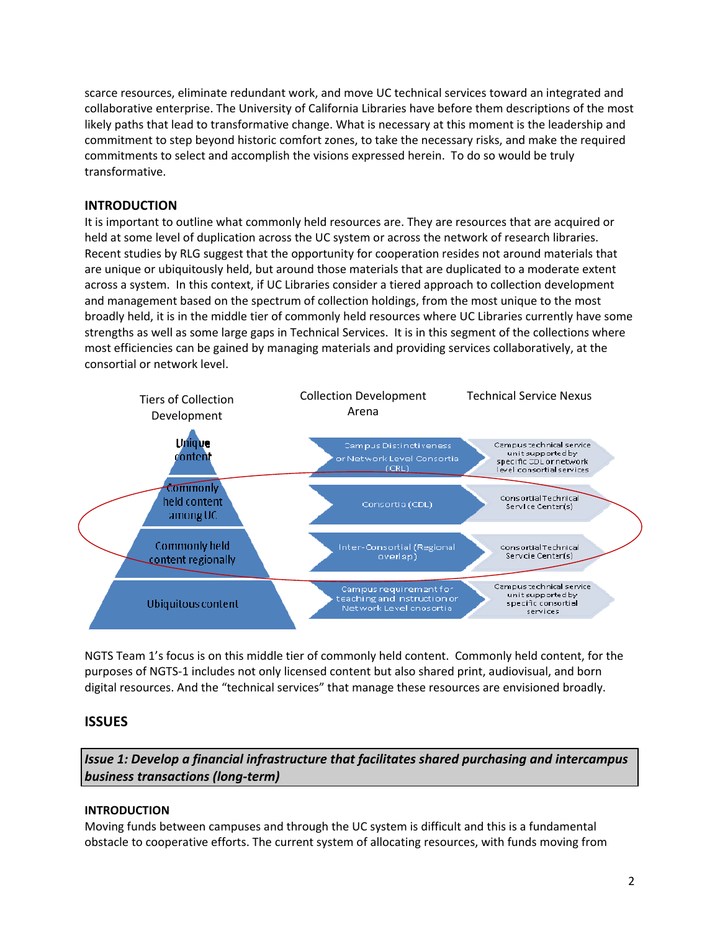scarce resources, eliminate redundant work, and move UC technical services toward an integrated and collaborative enterprise. The University of California Libraries have before them descriptions of the most likely paths that lead to transformative change. What is necessary at this moment is the leadership and commitment to step beyond historic comfort zones, to take the necessary risks, and make the required commitments to select and accomplish the visions expressed herein. To do so would be truly transformative.

### **INTRODUCTION**

It is important to outline what commonly held resources are. They are resources that are acquired or held at some level of duplication across the UC system or across the network of research libraries. Recent studies by RLG suggest that the opportunity for cooperation resides not around materials that are unique or ubiquitously held, but around those materials that are duplicated to a moderate extent across a system. In this context, if UC Libraries consider a tiered approach to collection development and management based on the spectrum of collection holdings, from the most unique to the most broadly held, it is in the middle tier of commonly held resources where UC Libraries currently have some strengths as well as some large gaps in Technical Services. It is in this segment of the collections where most efficiencies can be gained by managing materials and providing services collaboratively, at the consortial or network level.



NGTS Team 1's focus is on this middle tier of commonly held content. Commonly held content, for the purposes of NGTS‐1 includes not only licensed content but also shared print, audiovisual, and born digital resources. And the "technical services" that manage these resources are envisioned broadly.

# **ISSUES**

*Issue 1: Develop a financial infrastructure that facilitates shared purchasing and intercampus business transactions (long‐term)*

### **INTRODUCTION**

Moving funds between campuses and through the UC system is difficult and this is a fundamental obstacle to cooperative efforts. The current system of allocating resources, with funds moving from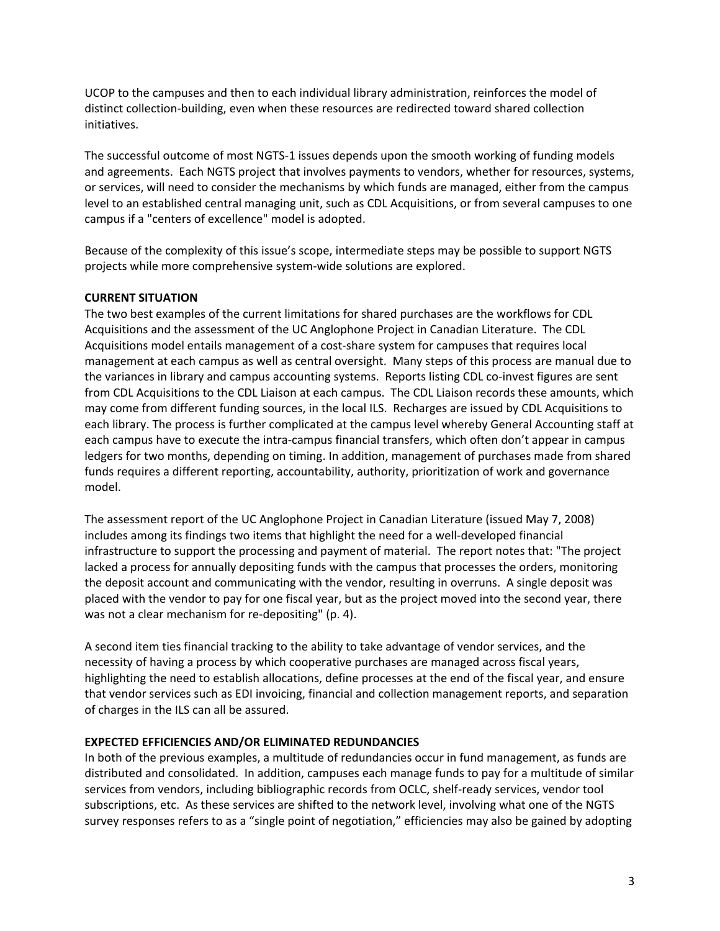UCOP to the campuses and then to each individual library administration, reinforces the model of distinct collection‐building, even when these resources are redirected toward shared collection initiatives.

The successful outcome of most NGTS‐1 issues depends upon the smooth working of funding models and agreements. Each NGTS project that involves payments to vendors, whether for resources, systems, or services, will need to consider the mechanisms by which funds are managed, either from the campus level to an established central managing unit, such as CDL Acquisitions, or from several campuses to one campus if a "centers of excellence" model is adopted.

Because of the complexity of this issue's scope, intermediate steps may be possible to support NGTS projects while more comprehensive system‐wide solutions are explored.

### **CURRENT SITUATION**

The two best examples of the current limitations for shared purchases are the workflows for CDL Acquisitions and the assessment of the UC Anglophone Project in Canadian Literature. The CDL Acquisitions model entails management of a cost‐share system for campuses that requires local management at each campus as well as central oversight. Many steps of this process are manual due to the variances in library and campus accounting systems. Reports listing CDL co-invest figures are sent from CDL Acquisitions to the CDL Liaison at each campus. The CDL Liaison records these amounts, which may come from different funding sources, in the local ILS. Recharges are issued by CDL Acquisitions to each library. The process is further complicated at the campus level whereby General Accounting staff at each campus have to execute the intra-campus financial transfers, which often don't appear in campus ledgers for two months, depending on timing. In addition, management of purchases made from shared funds requires a different reporting, accountability, authority, prioritization of work and governance model.

The assessment report of the UC Anglophone Project in Canadian Literature (issued May 7, 2008) includes among its findings two items that highlight the need for a well-developed financial infrastructure to support the processing and payment of material. The report notes that: "The project lacked a process for annually depositing funds with the campus that processes the orders, monitoring the deposit account and communicating with the vendor, resulting in overruns. A single deposit was placed with the vendor to pay for one fiscal year, but as the project moved into the second year, there was not a clear mechanism for re-depositing" (p. 4).

A second item ties financial tracking to the ability to take advantage of vendor services, and the necessity of having a process by which cooperative purchases are managed across fiscal years, highlighting the need to establish allocations, define processes at the end of the fiscal year, and ensure that vendor services such as EDI invoicing, financial and collection management reports, and separation of charges in the ILS can all be assured.

### **EXPECTED EFFICIENCIES AND/OR ELIMINATED REDUNDANCIES**

In both of the previous examples, a multitude of redundancies occur in fund management, as funds are distributed and consolidated. In addition, campuses each manage funds to pay for a multitude of similar services from vendors, including bibliographic records from OCLC, shelf-ready services, vendor tool subscriptions, etc. As these services are shifted to the network level, involving what one of the NGTS survey responses refers to as a "single point of negotiation," efficiencies may also be gained by adopting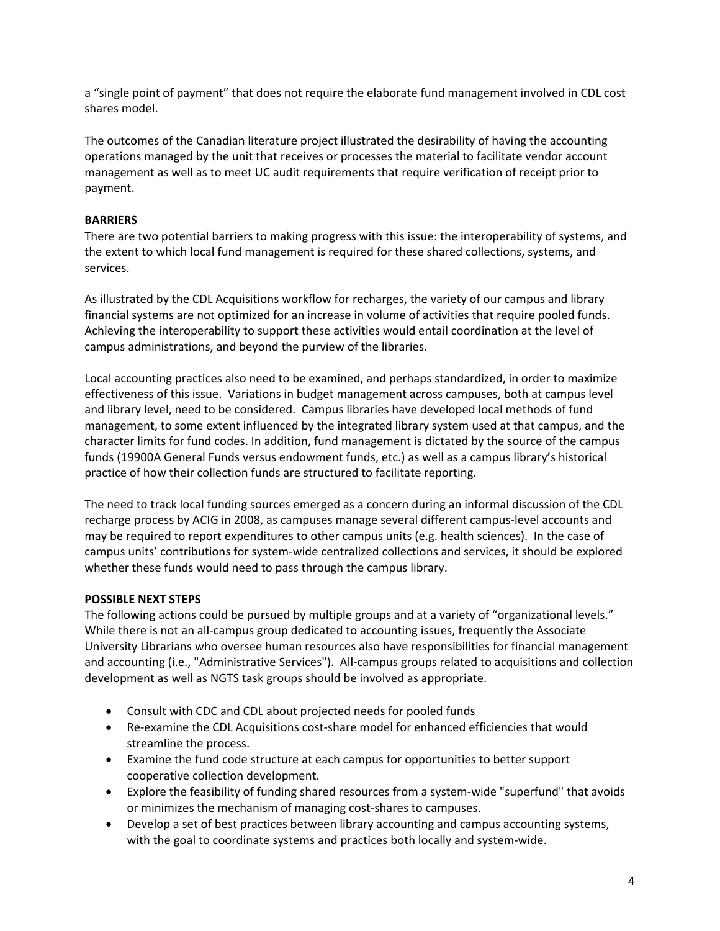a "single point of payment" that does not require the elaborate fund management involved in CDL cost shares model.

The outcomes of the Canadian literature project illustrated the desirability of having the accounting operations managed by the unit that receives or processes the material to facilitate vendor account management as well as to meet UC audit requirements that require verification of receipt prior to payment.

### **BARRIERS**

There are two potential barriers to making progress with this issue: the interoperability of systems, and the extent to which local fund management is required for these shared collections, systems, and services.

As illustrated by the CDL Acquisitions workflow for recharges, the variety of our campus and library financial systems are not optimized for an increase in volume of activities that require pooled funds. Achieving the interoperability to support these activities would entail coordination at the level of campus administrations, and beyond the purview of the libraries.

Local accounting practices also need to be examined, and perhaps standardized, in order to maximize effectiveness of this issue. Variations in budget management across campuses, both at campus level and library level, need to be considered. Campus libraries have developed local methods of fund management, to some extent influenced by the integrated library system used at that campus, and the character limits for fund codes. In addition, fund management is dictated by the source of the campus funds (19900A General Funds versus endowment funds, etc.) as well as a campus library's historical practice of how their collection funds are structured to facilitate reporting.

The need to track local funding sources emerged as a concern during an informal discussion of the CDL recharge process by ACIG in 2008, as campuses manage several different campus‐level accounts and may be required to report expenditures to other campus units (e.g. health sciences). In the case of campus units' contributions for system‐wide centralized collections and services, it should be explored whether these funds would need to pass through the campus library.

### **POSSIBLE NEXT STEPS**

The following actions could be pursued by multiple groups and at a variety of "organizational levels." While there is not an all-campus group dedicated to accounting issues, frequently the Associate University Librarians who oversee human resources also have responsibilities for financial management and accounting (i.e., "Administrative Services"). All-campus groups related to acquisitions and collection development as well as NGTS task groups should be involved as appropriate.

- Consult with CDC and CDL about projected needs for pooled funds
- Re‐examine the CDL Acquisitions cost‐share model for enhanced efficiencies that would streamline the process.
- Examine the fund code structure at each campus for opportunities to better support cooperative collection development.
- Explore the feasibility of funding shared resources from a system‐wide "superfund" that avoids or minimizes the mechanism of managing cost‐shares to campuses.
- Develop a set of best practices between library accounting and campus accounting systems, with the goal to coordinate systems and practices both locally and system-wide.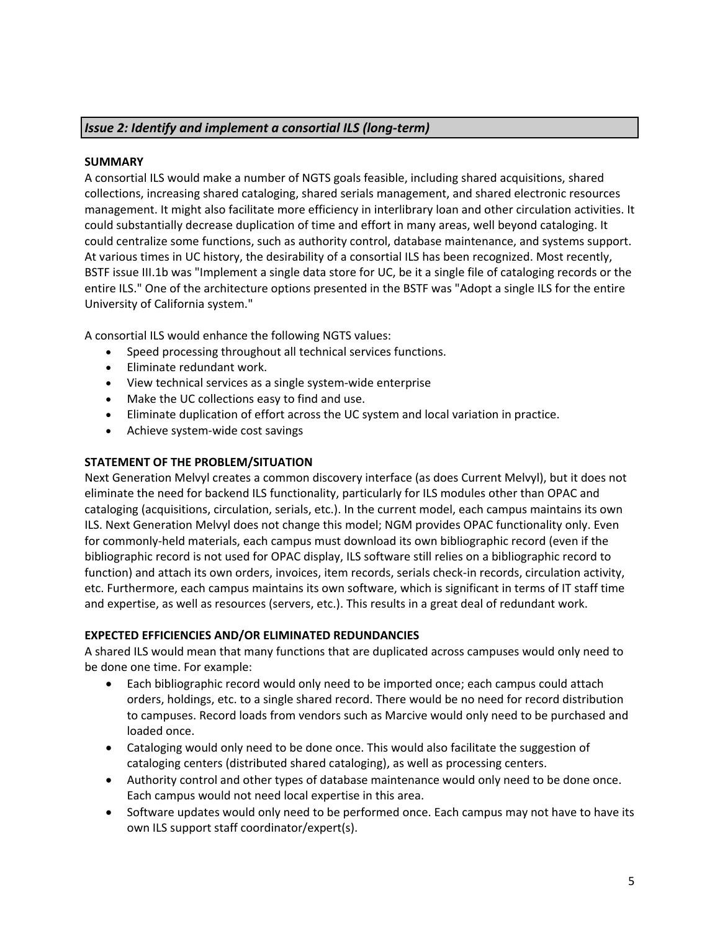## *Issue 2: Identify and implement a consortial ILS (long‐term)*

### **SUMMARY**

A consortial ILS would make a number of NGTS goals feasible, including shared acquisitions, shared collections, increasing shared cataloging, shared serials management, and shared electronic resources management. It might also facilitate more efficiency in interlibrary loan and other circulation activities. It could substantially decrease duplication of time and effort in many areas, well beyond cataloging. It could centralize some functions, such as authority control, database maintenance, and systems support. At various times in UC history, the desirability of a consortial ILS has been recognized. Most recently, BSTF issue III.1b was "Implement a single data store for UC, be it a single file of cataloging records or the entire ILS." One of the architecture options presented in the BSTF was "Adopt a single ILS for the entire University of California system."

A consortial ILS would enhance the following NGTS values:

- Speed processing throughout all technical services functions.
- Eliminate redundant work.
- View technical services as a single system‐wide enterprise
- Make the UC collections easy to find and use.
- Eliminate duplication of effort across the UC system and local variation in practice.
- Achieve system-wide cost savings

### **STATEMENT OF THE PROBLEM/SITUATION**

Next Generation Melvyl creates a common discovery interface (as does Current Melvyl), but it does not eliminate the need for backend ILS functionality, particularly for ILS modules other than OPAC and cataloging (acquisitions, circulation, serials, etc.). In the current model, each campus maintains its own ILS. Next Generation Melvyl does not change this model; NGM provides OPAC functionality only. Even for commonly-held materials, each campus must download its own bibliographic record (even if the bibliographic record is not used for OPAC display, ILS software still relies on a bibliographic record to function) and attach its own orders, invoices, item records, serials check-in records, circulation activity, etc. Furthermore, each campus maintains its own software, which is significant in terms of IT staff time and expertise, as well as resources (servers, etc.). This results in a great deal of redundant work.

### **EXPECTED EFFICIENCIES AND/OR ELIMINATED REDUNDANCIES**

A shared ILS would mean that many functions that are duplicated across campuses would only need to be done one time. For example:

- Each bibliographic record would only need to be imported once; each campus could attach orders, holdings, etc. to a single shared record. There would be no need for record distribution to campuses. Record loads from vendors such as Marcive would only need to be purchased and loaded once.
- Cataloging would only need to be done once. This would also facilitate the suggestion of cataloging centers (distributed shared cataloging), as well as processing centers.
- Authority control and other types of database maintenance would only need to be done once. Each campus would not need local expertise in this area.
- Software updates would only need to be performed once. Each campus may not have to have its own ILS support staff coordinator/expert(s).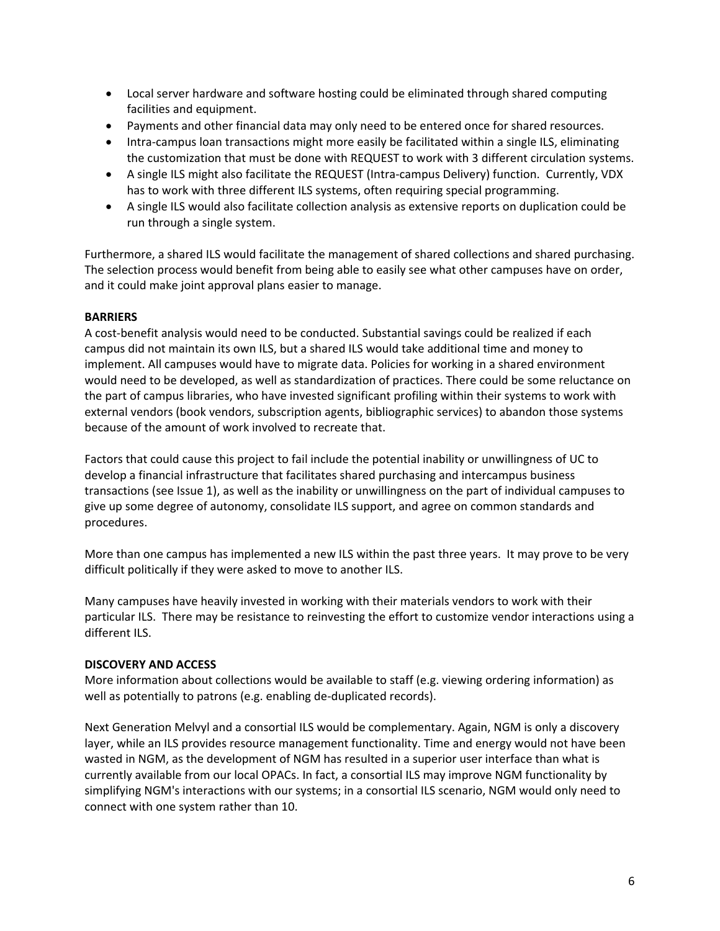- Local server hardware and software hosting could be eliminated through shared computing facilities and equipment.
- Payments and other financial data may only need to be entered once for shared resources.
- Intra-campus loan transactions might more easily be facilitated within a single ILS, eliminating the customization that must be done with REQUEST to work with 3 different circulation systems.
- A single ILS might also facilitate the REQUEST (Intra‐campus Delivery) function. Currently, VDX has to work with three different ILS systems, often requiring special programming.
- A single ILS would also facilitate collection analysis as extensive reports on duplication could be run through a single system.

Furthermore, a shared ILS would facilitate the management of shared collections and shared purchasing. The selection process would benefit from being able to easily see what other campuses have on order, and it could make joint approval plans easier to manage.

### **BARRIERS**

A cost‐benefit analysis would need to be conducted. Substantial savings could be realized if each campus did not maintain its own ILS, but a shared ILS would take additional time and money to implement. All campuses would have to migrate data. Policies for working in a shared environment would need to be developed, as well as standardization of practices. There could be some reluctance on the part of campus libraries, who have invested significant profiling within their systems to work with external vendors (book vendors, subscription agents, bibliographic services) to abandon those systems because of the amount of work involved to recreate that.

Factors that could cause this project to fail include the potential inability or unwillingness of UC to develop a financial infrastructure that facilitates shared purchasing and intercampus business transactions (see Issue 1), as well as the inability or unwillingness on the part of individual campuses to give up some degree of autonomy, consolidate ILS support, and agree on common standards and procedures.

More than one campus has implemented a new ILS within the past three years. It may prove to be very difficult politically if they were asked to move to another ILS.

Many campuses have heavily invested in working with their materials vendors to work with their particular ILS. There may be resistance to reinvesting the effort to customize vendor interactions using a different ILS.

### **DISCOVERY AND ACCESS**

More information about collections would be available to staff (e.g. viewing ordering information) as well as potentially to patrons (e.g. enabling de‐duplicated records).

Next Generation Melvyl and a consortial ILS would be complementary. Again, NGM is only a discovery layer, while an ILS provides resource management functionality. Time and energy would not have been wasted in NGM, as the development of NGM has resulted in a superior user interface than what is currently available from our local OPACs. In fact, a consortial ILS may improve NGM functionality by simplifying NGM's interactions with our systems; in a consortial ILS scenario, NGM would only need to connect with one system rather than 10.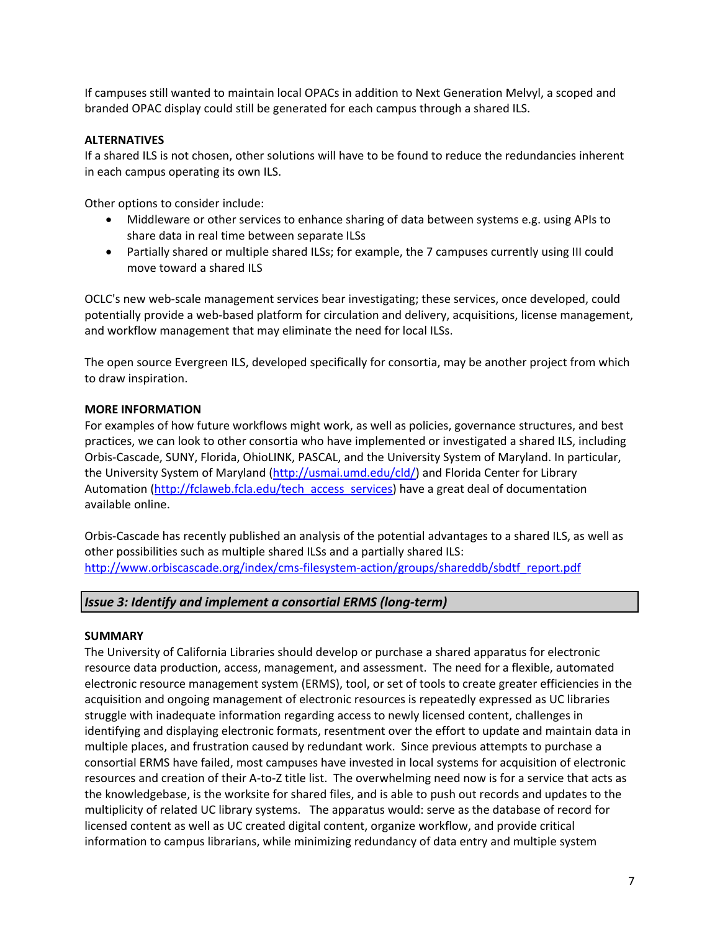If campuses still wanted to maintain local OPACs in addition to Next Generation Melvyl, a scoped and branded OPAC display could still be generated for each campus through a shared ILS.

### **ALTERNATIVES**

If a shared ILS is not chosen, other solutions will have to be found to reduce the redundancies inherent in each campus operating its own ILS.

Other options to consider include:

- Middleware or other services to enhance sharing of data between systems e.g. using APIs to share data in real time between separate ILSs
- Partially shared or multiple shared ILSs; for example, the 7 campuses currently using III could move toward a shared ILS

OCLC's new web‐scale management services bear investigating; these services, once developed, could potentially provide a web-based platform for circulation and delivery, acquisitions, license management, and workflow management that may eliminate the need for local ILSs.

The open source Evergreen ILS, developed specifically for consortia, may be another project from which to draw inspiration.

### **MORE INFORMATION**

For examples of how future workflows might work, as well as policies, governance structures, and best practices, we can look to other consortia who have implemented or investigated a shared ILS, including Orbis‐Cascade, SUNY, Florida, OhioLINK, PASCAL, and the University System of Maryland. In particular, the University System of Maryland (http://usmai.umd.edu/cld/) and Florida Center for Library Automation (http://fclaweb.fcla.edu/tech\_access\_services) have a great deal of documentation available online.

Orbis‐Cascade has recently published an analysis of the potential advantages to a shared ILS, as well as other possibilities such as multiple shared ILSs and a partially shared ILS: http://www.orbiscascade.org/index/cms-filesystem-action/groups/shareddb/sbdtf\_report.pdf

## *Issue 3: Identify and implement a consortial ERMS (long‐term)*

### **SUMMARY**

The University of California Libraries should develop or purchase a shared apparatus for electronic resource data production, access, management, and assessment. The need for a flexible, automated electronic resource management system (ERMS), tool, or set of tools to create greater efficiencies in the acquisition and ongoing management of electronic resources is repeatedly expressed as UC libraries struggle with inadequate information regarding access to newly licensed content, challenges in identifying and displaying electronic formats, resentment over the effort to update and maintain data in multiple places, and frustration caused by redundant work. Since previous attempts to purchase a consortial ERMS have failed, most campuses have invested in local systems for acquisition of electronic resources and creation of their A‐to‐Z title list. The overwhelming need now is for a service that acts as the knowledgebase, is the worksite for shared files, and is able to push out records and updates to the multiplicity of related UC library systems. The apparatus would: serve as the database of record for licensed content as well as UC created digital content, organize workflow, and provide critical information to campus librarians, while minimizing redundancy of data entry and multiple system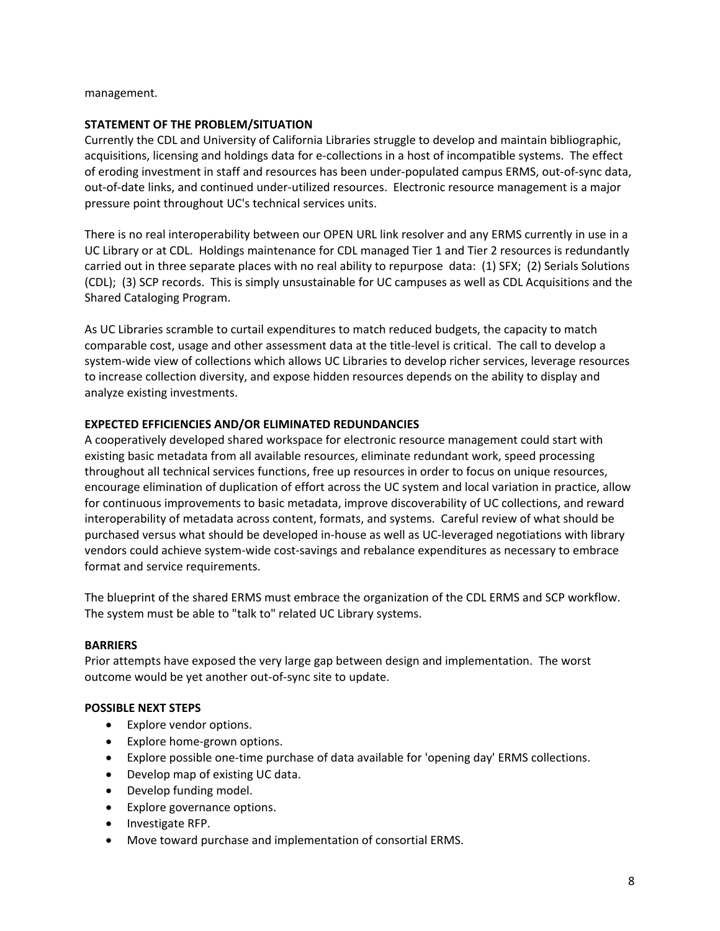management.

#### **STATEMENT OF THE PROBLEM/SITUATION**

Currently the CDL and University of California Libraries struggle to develop and maintain bibliographic, acquisitions, licensing and holdings data for e‐collections in a host of incompatible systems. The effect of eroding investment in staff and resources has been under‐populated campus ERMS, out‐of‐sync data, out‐of‐date links, and continued under‐utilized resources. Electronic resource management is a major pressure point throughout UC's technical services units.

There is no real interoperability between our OPEN URL link resolver and any ERMS currently in use in a UC Library or at CDL. Holdings maintenance for CDL managed Tier 1 and Tier 2 resources is redundantly carried out in three separate places with no real ability to repurpose data: (1) SFX; (2) Serials Solutions (CDL); (3) SCP records. This is simply unsustainable for UC campuses as well as CDL Acquisitions and the Shared Cataloging Program.

As UC Libraries scramble to curtail expenditures to match reduced budgets, the capacity to match comparable cost, usage and other assessment data at the title‐level is critical. The call to develop a system-wide view of collections which allows UC Libraries to develop richer services, leverage resources to increase collection diversity, and expose hidden resources depends on the ability to display and analyze existing investments.

#### **EXPECTED EFFICIENCIES AND/OR ELIMINATED REDUNDANCIES**

A cooperatively developed shared workspace for electronic resource management could start with existing basic metadata from all available resources, eliminate redundant work, speed processing throughout all technical services functions, free up resources in order to focus on unique resources, encourage elimination of duplication of effort across the UC system and local variation in practice, allow for continuous improvements to basic metadata, improve discoverability of UC collections, and reward interoperability of metadata across content, formats, and systems. Careful review of what should be purchased versus what should be developed in‐house as well as UC‐leveraged negotiations with library vendors could achieve system‐wide cost‐savings and rebalance expenditures as necessary to embrace format and service requirements.

The blueprint of the shared ERMS must embrace the organization of the CDL ERMS and SCP workflow. The system must be able to "talk to" related UC Library systems.

#### **BARRIERS**

Prior attempts have exposed the very large gap between design and implementation. The worst outcome would be yet another out‐of‐sync site to update.

#### **POSSIBLE NEXT STEPS**

- Explore vendor options.
- Explore home‐grown options.
- Explore possible one‐time purchase of data available for 'opening day' ERMS collections.
- Develop map of existing UC data.
- Develop funding model.
- Explore governance options.
- Investigate RFP.
- Move toward purchase and implementation of consortial ERMS.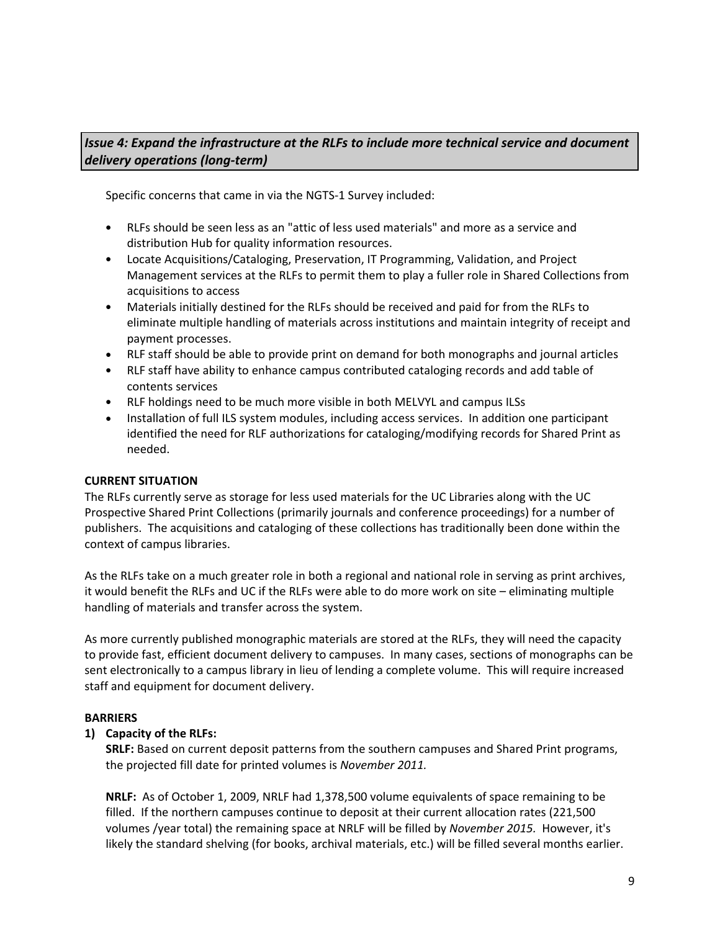# *Issue 4: Expand the infrastructure at the RLFs to include more technical service and document delivery operations (long‐term)*

Specific concerns that came in via the NGTS‐1 Survey included:

- RLFs should be seen less as an "attic of less used materials" and more as a service and distribution Hub for quality information resources.
- Locate Acquisitions/Cataloging, Preservation, IT Programming, Validation, and Project Management services at the RLFs to permit them to play a fuller role in Shared Collections from acquisitions to access
- Materials initially destined for the RLFs should be received and paid for from the RLFs to eliminate multiple handling of materials across institutions and maintain integrity of receipt and payment processes.
- RLF staff should be able to provide print on demand for both monographs and journal articles
- RLF staff have ability to enhance campus contributed cataloging records and add table of contents services
- RLF holdings need to be much more visible in both MELVYL and campus ILSs
- Installation of full ILS system modules, including access services. In addition one participant identified the need for RLF authorizations for cataloging/modifying records for Shared Print as needed.

## **CURRENT SITUATION**

The RLFs currently serve as storage for less used materials for the UC Libraries along with the UC Prospective Shared Print Collections (primarily journals and conference proceedings) for a number of publishers. The acquisitions and cataloging of these collections has traditionally been done within the context of campus libraries.

As the RLFs take on a much greater role in both a regional and national role in serving as print archives, it would benefit the RLFs and UC if the RLFs were able to do more work on site – eliminating multiple handling of materials and transfer across the system.

As more currently published monographic materials are stored at the RLFs, they will need the capacity to provide fast, efficient document delivery to campuses. In many cases, sections of monographs can be sent electronically to a campus library in lieu of lending a complete volume. This will require increased staff and equipment for document delivery.

### **BARRIERS**

## **1) Capacity of the RLFs:**

**SRLF:** Based on current deposit patterns from the southern campuses and Shared Print programs, the projected fill date for printed volumes is *November 2011.*

**NRLF:** As of October 1, 2009, NRLF had 1,378,500 volume equivalents of space remaining to be filled. If the northern campuses continue to deposit at their current allocation rates (221,500 volumes /year total) the remaining space at NRLF will be filled by *November 2015.* However, it's likely the standard shelving (for books, archival materials, etc.) will be filled several months earlier.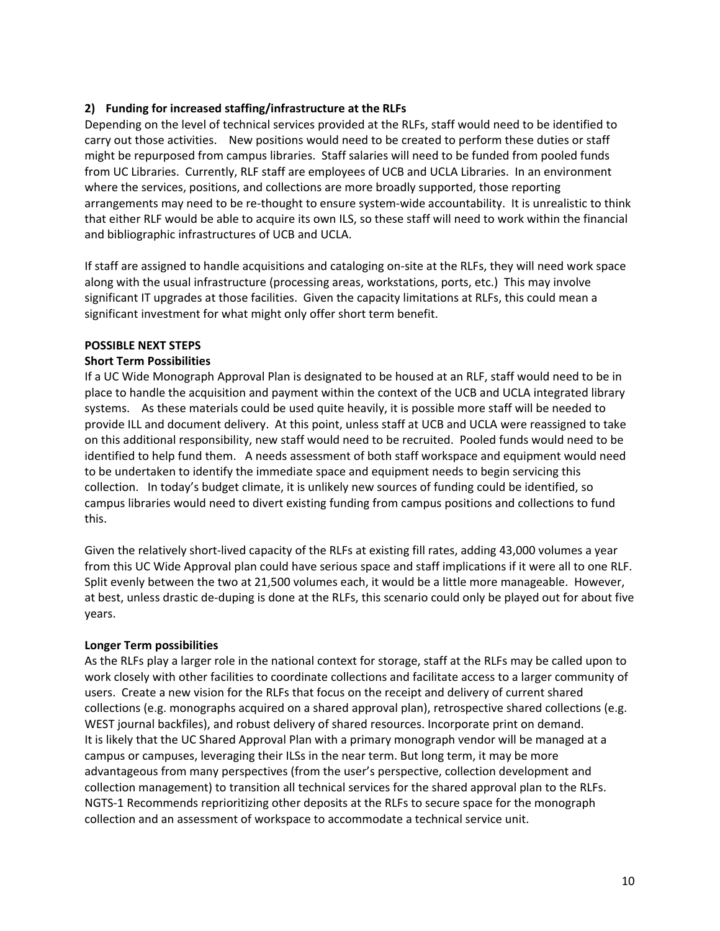### **2) Funding for increased staffing/infrastructure at the RLFs**

Depending on the level of technical services provided at the RLFs, staff would need to be identified to carry out those activities. New positions would need to be created to perform these duties or staff might be repurposed from campus libraries. Staff salaries will need to be funded from pooled funds from UC Libraries. Currently, RLF staff are employees of UCB and UCLA Libraries. In an environment where the services, positions, and collections are more broadly supported, those reporting arrangements may need to be re-thought to ensure system-wide accountability. It is unrealistic to think that either RLF would be able to acquire its own ILS, so these staff will need to work within the financial and bibliographic infrastructures of UCB and UCLA.

If staff are assigned to handle acquisitions and cataloging on‐site at the RLFs, they will need work space along with the usual infrastructure (processing areas, workstations, ports, etc.) This may involve significant IT upgrades at those facilities. Given the capacity limitations at RLFs, this could mean a significant investment for what might only offer short term benefit.

### **POSSIBLE NEXT STEPS**

### **Short Term Possibilities**

If a UC Wide Monograph Approval Plan is designated to be housed at an RLF, staff would need to be in place to handle the acquisition and payment within the context of the UCB and UCLA integrated library systems. As these materials could be used quite heavily, it is possible more staff will be needed to provide ILL and document delivery. At this point, unless staff at UCB and UCLA were reassigned to take on this additional responsibility, new staff would need to be recruited. Pooled funds would need to be identified to help fund them. A needs assessment of both staff workspace and equipment would need to be undertaken to identify the immediate space and equipment needs to begin servicing this collection. In today's budget climate, it is unlikely new sources of funding could be identified, so campus libraries would need to divert existing funding from campus positions and collections to fund this.

Given the relatively short-lived capacity of the RLFs at existing fill rates, adding 43,000 volumes a year from this UC Wide Approval plan could have serious space and staff implications if it were all to one RLF. Split evenly between the two at 21,500 volumes each, it would be a little more manageable. However, at best, unless drastic de‐duping is done at the RLFs, this scenario could only be played out for about five years.

### **Longer Term possibilities**

As the RLFs play a larger role in the national context for storage, staff at the RLFs may be called upon to work closely with other facilities to coordinate collections and facilitate access to a larger community of users. Create a new vision for the RLFs that focus on the receipt and delivery of current shared collections (e.g. monographs acquired on a shared approval plan), retrospective shared collections (e.g. WEST journal backfiles), and robust delivery of shared resources. Incorporate print on demand. It is likely that the UC Shared Approval Plan with a primary monograph vendor will be managed at a campus or campuses, leveraging their ILSs in the near term. But long term, it may be more advantageous from many perspectives (from the user's perspective, collection development and collection management) to transition all technical services for the shared approval plan to the RLFs. NGTS‐1 Recommends reprioritizing other deposits at the RLFs to secure space for the monograph collection and an assessment of workspace to accommodate a technical service unit.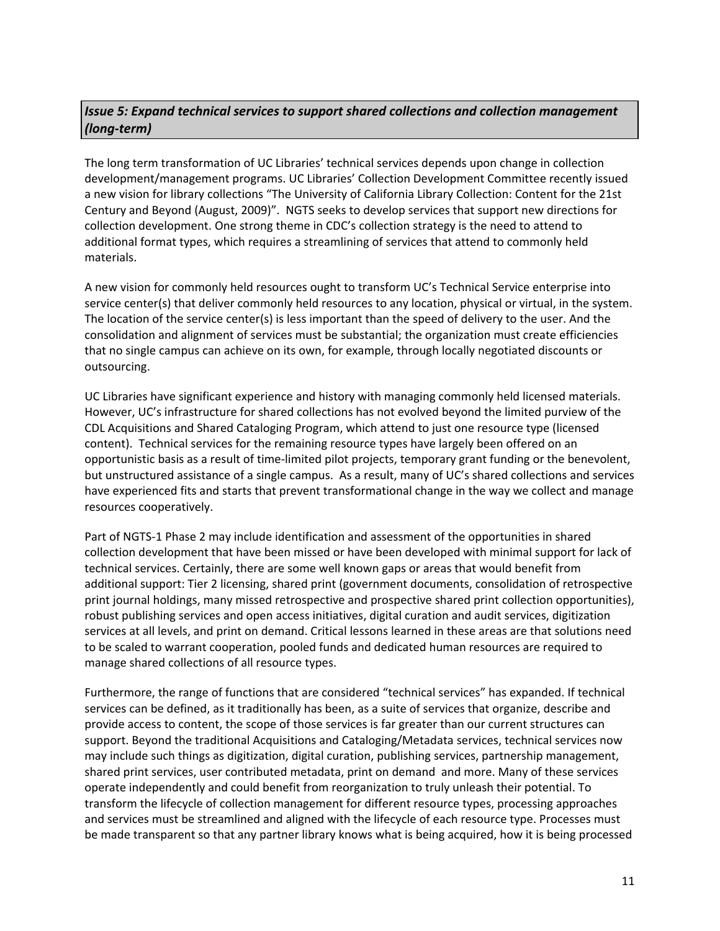# *Issue 5: Expand technical services to support shared collections and collection management (long‐term)*

The long term transformation of UC Libraries' technical services depends upon change in collection development/management programs. UC Libraries' Collection Development Committee recently issued a new vision for library collections "The University of California Library Collection: Content for the 21st Century and Beyond (August, 2009)". NGTS seeks to develop services that support new directions for collection development. One strong theme in CDC's collection strategy is the need to attend to additional format types, which requires a streamlining of services that attend to commonly held materials.

A new vision for commonly held resources ought to transform UC's Technical Service enterprise into service center(s) that deliver commonly held resources to any location, physical or virtual, in the system. The location of the service center(s) is less important than the speed of delivery to the user. And the consolidation and alignment of services must be substantial; the organization must create efficiencies that no single campus can achieve on its own, for example, through locally negotiated discounts or outsourcing.

UC Libraries have significant experience and history with managing commonly held licensed materials. However, UC's infrastructure for shared collections has not evolved beyond the limited purview of the CDL Acquisitions and Shared Cataloging Program, which attend to just one resource type (licensed content). Technical services for the remaining resource types have largely been offered on an opportunistic basis as a result of time‐limited pilot projects, temporary grant funding or the benevolent, but unstructured assistance of a single campus. As a result, many of UC's shared collections and services have experienced fits and starts that prevent transformational change in the way we collect and manage resources cooperatively.

Part of NGTS‐1 Phase 2 may include identification and assessment of the opportunities in shared collection development that have been missed or have been developed with minimal support for lack of technical services. Certainly, there are some well known gaps or areas that would benefit from additional support: Tier 2 licensing, shared print (government documents, consolidation of retrospective print journal holdings, many missed retrospective and prospective shared print collection opportunities), robust publishing services and open access initiatives, digital curation and audit services, digitization services at all levels, and print on demand. Critical lessons learned in these areas are that solutions need to be scaled to warrant cooperation, pooled funds and dedicated human resources are required to manage shared collections of all resource types.

Furthermore, the range of functions that are considered "technical services" has expanded. If technical services can be defined, as it traditionally has been, as a suite of services that organize, describe and provide access to content, the scope of those services is far greater than our current structures can support. Beyond the traditional Acquisitions and Cataloging/Metadata services, technical services now may include such things as digitization, digital curation, publishing services, partnership management, shared print services, user contributed metadata, print on demand and more. Many of these services operate independently and could benefit from reorganization to truly unleash their potential. To transform the lifecycle of collection management for different resource types, processing approaches and services must be streamlined and aligned with the lifecycle of each resource type. Processes must be made transparent so that any partner library knows what is being acquired, how it is being processed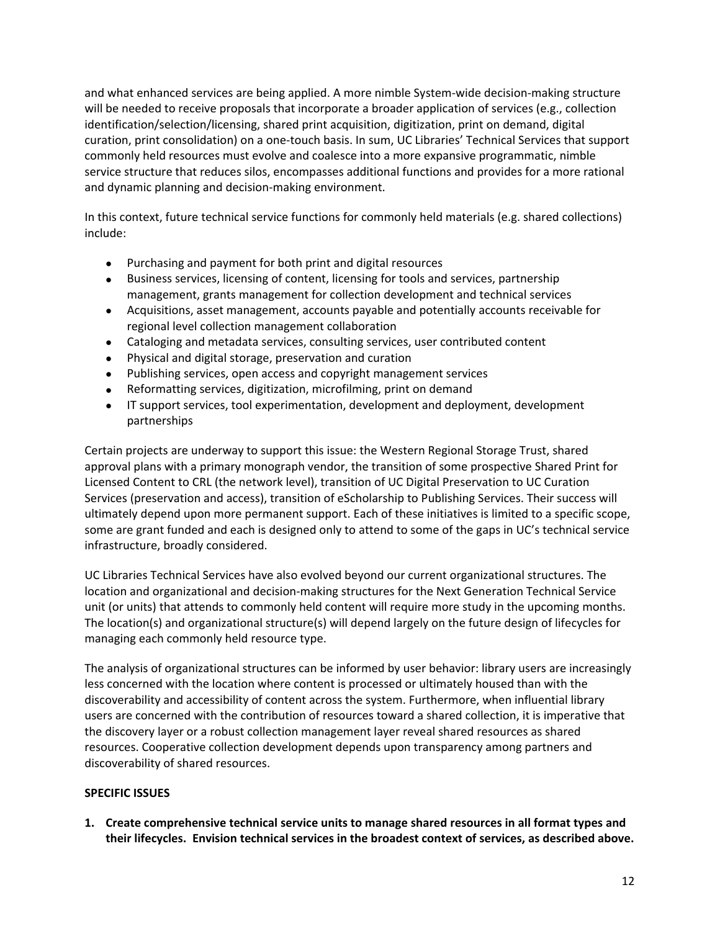and what enhanced services are being applied. A more nimble System-wide decision-making structure will be needed to receive proposals that incorporate a broader application of services (e.g., collection identification/selection/licensing, shared print acquisition, digitization, print on demand, digital curation, print consolidation) on a one‐touch basis. In sum, UC Libraries' Technical Services that support commonly held resources must evolve and coalesce into a more expansive programmatic, nimble service structure that reduces silos, encompasses additional functions and provides for a more rational and dynamic planning and decision‐making environment.

In this context, future technical service functions for commonly held materials (e.g. shared collections) include:

- Purchasing and payment for both print and digital resources
- Business services, licensing of content, licensing for tools and services, partnership management, grants management for collection development and technical services
- Acquisitions, asset management, accounts payable and potentially accounts receivable for regional level collection management collaboration
- Cataloging and metadata services, consulting services, user contributed content
- Physical and digital storage, preservation and curation
- Publishing services, open access and copyright management services
- Reformatting services, digitization, microfilming, print on demand
- IT support services, tool experimentation, development and deployment, development partnerships

Certain projects are underway to support this issue: the Western Regional Storage Trust, shared approval plans with a primary monograph vendor, the transition of some prospective Shared Print for Licensed Content to CRL (the network level), transition of UC Digital Preservation to UC Curation Services (preservation and access), transition of eScholarship to Publishing Services. Their success will ultimately depend upon more permanent support. Each of these initiatives is limited to a specific scope, some are grant funded and each is designed only to attend to some of the gaps in UC's technical service infrastructure, broadly considered.

UC Libraries Technical Services have also evolved beyond our current organizational structures. The location and organizational and decision‐making structures for the Next Generation Technical Service unit (or units) that attends to commonly held content will require more study in the upcoming months. The location(s) and organizational structure(s) will depend largely on the future design of lifecycles for managing each commonly held resource type.

The analysis of organizational structures can be informed by user behavior: library users are increasingly less concerned with the location where content is processed or ultimately housed than with the discoverability and accessibility of content across the system. Furthermore, when influential library users are concerned with the contribution of resources toward a shared collection, it is imperative that the discovery layer or a robust collection management layer reveal shared resources as shared resources. Cooperative collection development depends upon transparency among partners and discoverability of shared resources.

### **SPECIFIC ISSUES**

**1. Create comprehensive technical service units to manage shared resources in all format types and their lifecycles. Envision technical services in the broadest context of services, as described above.**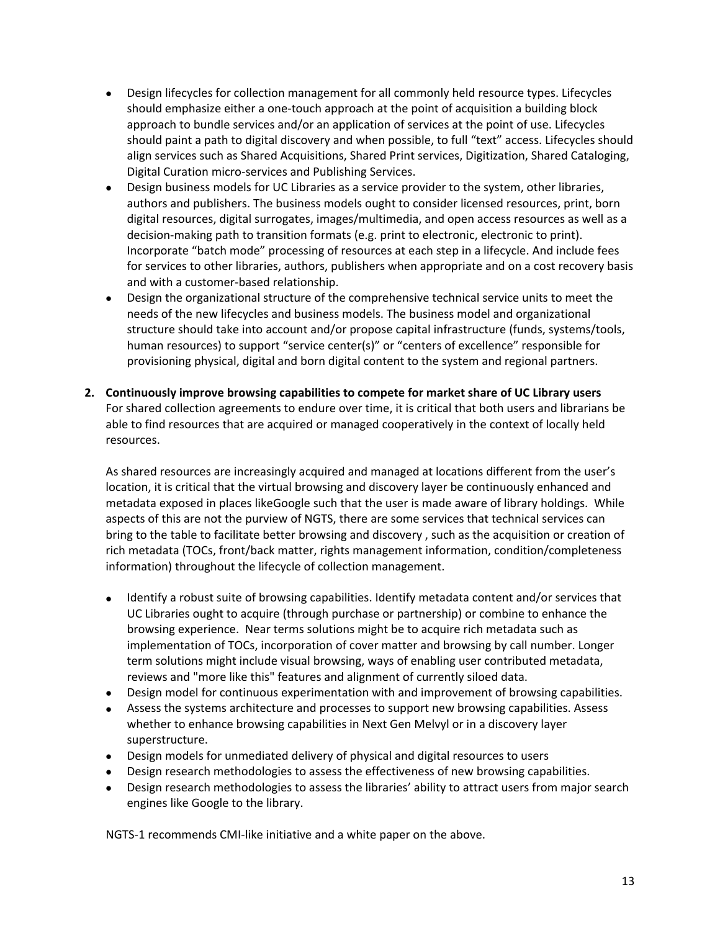- Design lifecycles for collection management for all commonly held resource types. Lifecycles should emphasize either a one‐touch approach at the point of acquisition a building block approach to bundle services and/or an application of services at the point of use. Lifecycles should paint a path to digital discovery and when possible, to full "text" access. Lifecycles should align services such as Shared Acquisitions, Shared Print services, Digitization, Shared Cataloging, Digital Curation micro‐services and Publishing Services.
- Design business models for UC Libraries as a service provider to the system, other libraries, authors and publishers. The business models ought to consider licensed resources, print, born digital resources, digital surrogates, images/multimedia, and open access resources as well as a decision‐making path to transition formats (e.g. print to electronic, electronic to print). Incorporate "batch mode" processing of resources at each step in a lifecycle. And include fees for services to other libraries, authors, publishers when appropriate and on a cost recovery basis and with a customer‐based relationship.
- Design the organizational structure of the comprehensive technical service units to meet the needs of the new lifecycles and business models. The business model and organizational structure should take into account and/or propose capital infrastructure (funds, systems/tools, human resources) to support "service center(s)" or "centers of excellence" responsible for provisioning physical, digital and born digital content to the system and regional partners.
- **2. Continuously improve browsing capabilities to compete for market share of UC Library users** For shared collection agreements to endure over time, it is critical that both users and librarians be able to find resources that are acquired or managed cooperatively in the context of locally held resources.

As shared resources are increasingly acquired and managed at locations different from the user's location, it is critical that the virtual browsing and discovery layer be continuously enhanced and metadata exposed in places likeGoogle such that the user is made aware of library holdings. While aspects of this are not the purview of NGTS, there are some services that technical services can bring to the table to facilitate better browsing and discovery , such as the acquisition or creation of rich metadata (TOCs, front/back matter, rights management information, condition/completeness information) throughout the lifecycle of collection management.

- Identify a robust suite of browsing capabilities. Identify metadata content and/or services that UC Libraries ought to acquire (through purchase or partnership) or combine to enhance the browsing experience. Near terms solutions might be to acquire rich metadata such as implementation of TOCs, incorporation of cover matter and browsing by call number. Longer term solutions might include visual browsing, ways of enabling user contributed metadata, reviews and "more like this" features and alignment of currently siloed data.
- Design model for continuous experimentation with and improvement of browsing capabilities.
- Assess the systems architecture and processes to support new browsing capabilities. Assess whether to enhance browsing capabilities in Next Gen Melvyl or in a discovery layer superstructure.
- Design models for unmediated delivery of physical and digital resources to users
- Design research methodologies to assess the effectiveness of new browsing capabilities.
- Design research methodologies to assess the libraries' ability to attract users from major search engines like Google to the library.

NGTS‐1 recommends CMI‐like initiative and a white paper on the above.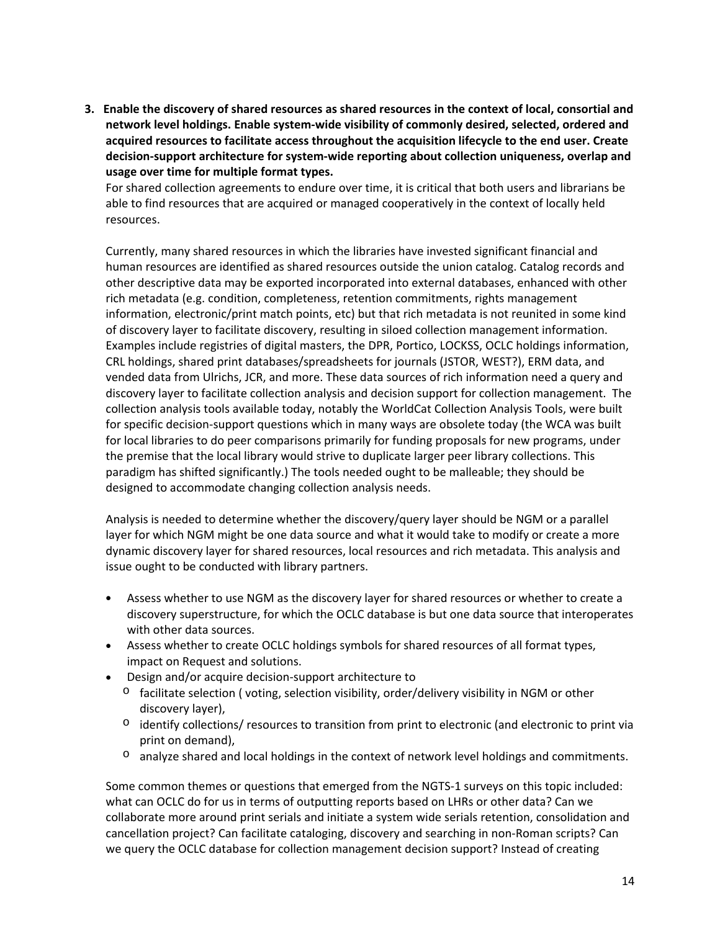3. Enable the discovery of shared resources as shared resources in the context of local, consortial and **network level holdings. Enable system‐wide visibility of commonly desired, selected, ordered and acquired resources to facilitate access throughout the acquisition lifecycle to the end user. Create decision‐support architecture for system‐wide reporting about collection uniqueness, overlap and usage over time for multiple format types.** 

For shared collection agreements to endure over time, it is critical that both users and librarians be able to find resources that are acquired or managed cooperatively in the context of locally held resources.

Currently, many shared resources in which the libraries have invested significant financial and human resources are identified as shared resources outside the union catalog. Catalog records and other descriptive data may be exported incorporated into external databases, enhanced with other rich metadata (e.g. condition, completeness, retention commitments, rights management information, electronic/print match points, etc) but that rich metadata is not reunited in some kind of discovery layer to facilitate discovery, resulting in siloed collection management information. Examples include registries of digital masters, the DPR, Portico, LOCKSS, OCLC holdings information, CRL holdings, shared print databases/spreadsheets for journals (JSTOR, WEST?), ERM data, and vended data from Ulrichs, JCR, and more. These data sources of rich information need a query and discovery layer to facilitate collection analysis and decision support for collection management. The collection analysis tools available today, notably the WorldCat Collection Analysis Tools, were built for specific decision‐support questions which in many ways are obsolete today (the WCA was built for local libraries to do peer comparisons primarily for funding proposals for new programs, under the premise that the local library would strive to duplicate larger peer library collections. This paradigm has shifted significantly.) The tools needed ought to be malleable; they should be designed to accommodate changing collection analysis needs.

Analysis is needed to determine whether the discovery/query layer should be NGM or a parallel layer for which NGM might be one data source and what it would take to modify or create a more dynamic discovery layer for shared resources, local resources and rich metadata. This analysis and issue ought to be conducted with library partners.

- Assess whether to use NGM as the discovery layer for shared resources or whether to create a discovery superstructure, for which the OCLC database is but one data source that interoperates with other data sources.
- Assess whether to create OCLC holdings symbols for shared resources of all format types, impact on Request and solutions.
- Design and/or acquire decision‐support architecture to
	- $\circ$  facilitate selection (voting, selection visibility, order/delivery visibility in NGM or other discovery layer),
	- o identify collections/ resources to transition from print to electronic (and electronic to print via print on demand),
	- $\circ$  analyze shared and local holdings in the context of network level holdings and commitments.

Some common themes or questions that emerged from the NGTS‐1 surveys on this topic included: what can OCLC do for us in terms of outputting reports based on LHRs or other data? Can we collaborate more around print serials and initiate a system wide serials retention, consolidation and cancellation project? Can facilitate cataloging, discovery and searching in non‐Roman scripts? Can we query the OCLC database for collection management decision support? Instead of creating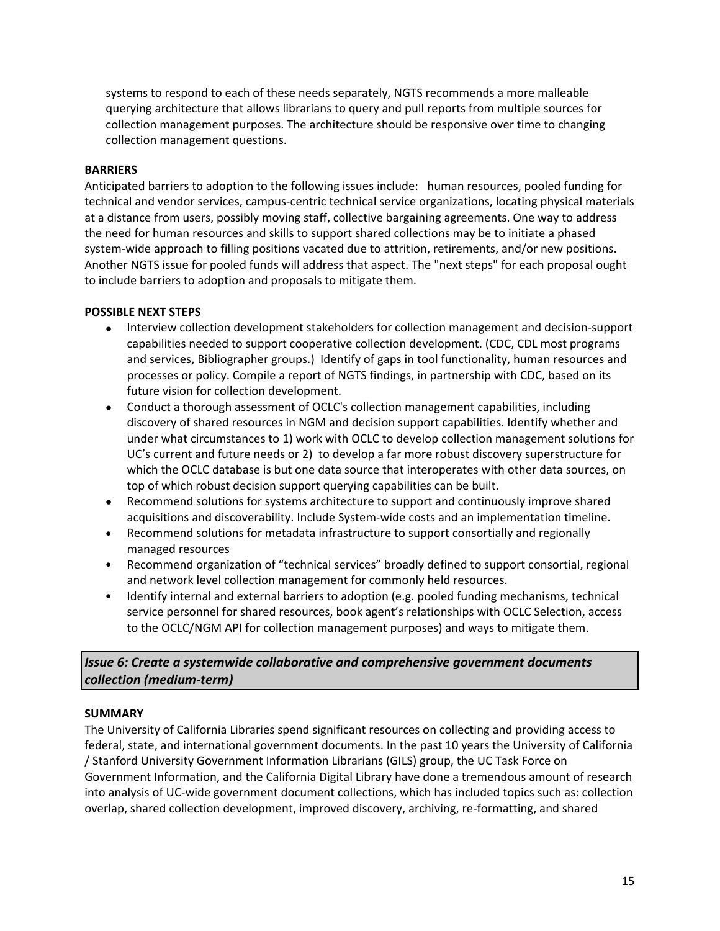systems to respond to each of these needs separately, NGTS recommends a more malleable querying architecture that allows librarians to query and pull reports from multiple sources for collection management purposes. The architecture should be responsive over time to changing collection management questions.

### **BARRIERS**

Anticipated barriers to adoption to the following issues include: human resources, pooled funding for technical and vendor services, campus‐centric technical service organizations, locating physical materials at a distance from users, possibly moving staff, collective bargaining agreements. One way to address the need for human resources and skills to support shared collections may be to initiate a phased system-wide approach to filling positions vacated due to attrition, retirements, and/or new positions. Another NGTS issue for pooled funds will address that aspect. The "next steps" for each proposal ought to include barriers to adoption and proposals to mitigate them.

### **POSSIBLE NEXT STEPS**

- Interview collection development stakeholders for collection management and decision‐support capabilities needed to support cooperative collection development. (CDC, CDL most programs and services, Bibliographer groups.) Identify of gaps in tool functionality, human resources and processes or policy. Compile a report of NGTS findings, in partnership with CDC, based on its future vision for collection development.
- Conduct a thorough assessment of OCLC's collection management capabilities, including discovery of shared resources in NGM and decision support capabilities. Identify whether and under what circumstances to 1) work with OCLC to develop collection management solutions for UC's current and future needs or 2) to develop a far more robust discovery superstructure for which the OCLC database is but one data source that interoperates with other data sources, on top of which robust decision support querying capabilities can be built.
- Recommend solutions for systems architecture to support and continuously improve shared acquisitions and discoverability. Include System‐wide costs and an implementation timeline.
- Recommend solutions for metadata infrastructure to support consortially and regionally managed resources
- Recommend organization of "technical services" broadly defined to support consortial, regional and network level collection management for commonly held resources.
- Identify internal and external barriers to adoption (e.g. pooled funding mechanisms, technical service personnel for shared resources, book agent's relationships with OCLC Selection, access to the OCLC/NGM API for collection management purposes) and ways to mitigate them.

# *Issue 6: Create a systemwide collaborative and comprehensive government documents collection (medium‐term)*

### **SUMMARY**

The University of California Libraries spend significant resources on collecting and providing access to federal, state, and international government documents. In the past 10 years the University of California / Stanford University Government Information Librarians (GILS) group, the UC Task Force on Government Information, and the California Digital Library have done a tremendous amount of research into analysis of UC‐wide government document collections, which has included topics such as: collection overlap, shared collection development, improved discovery, archiving, re‐formatting, and shared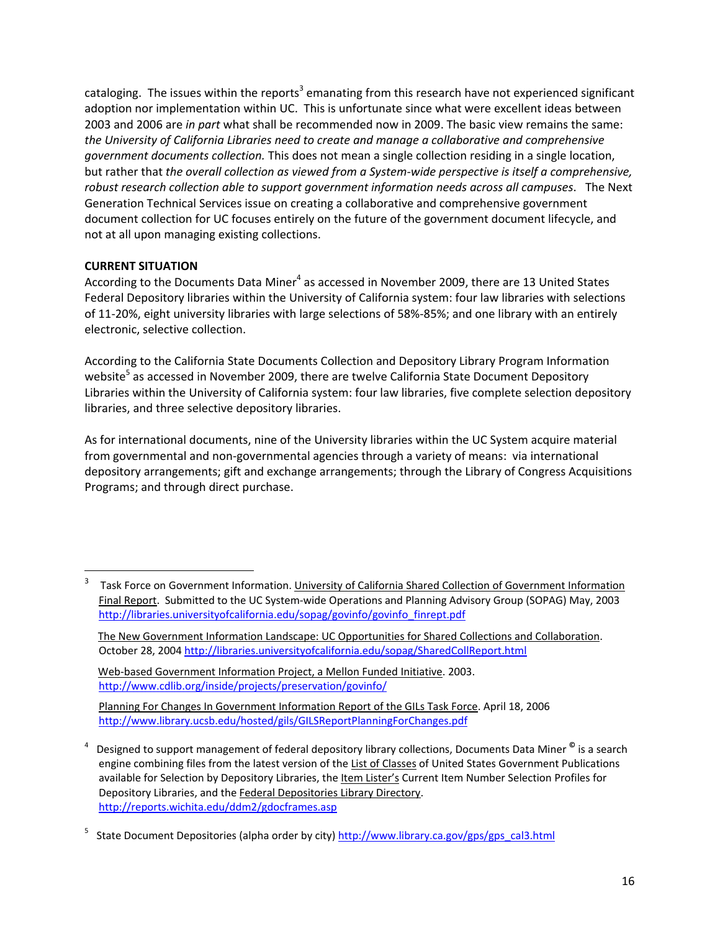cataloging. The issues within the reports<sup>3</sup> emanating from this research have not experienced significant adoption nor implementation within UC. This is unfortunate since what were excellent ideas between 2003 and 2006 are *in part* what shall be recommended now in 2009. The basic view remains the same: *the University of California Libraries need to create and manage a collaborative and comprehensive government documents collection.* This does not mean a single collection residing in a single location, but rather that *the overall collection as viewed from a System‐wide perspective is itself a comprehensive, robust research collection able to support government information needs across all campuses*. The Next Generation Technical Services issue on creating a collaborative and comprehensive government document collection for UC focuses entirely on the future of the government document lifecycle, and not at all upon managing existing collections.

## **CURRENT SITUATION**

According to the Documents Data Miner<sup>4</sup> as accessed in November 2009, there are 13 United States Federal Depository libraries within the University of California system: four law libraries with selections of 11‐20%, eight university libraries with large selections of 58%‐85%; and one library with an entirely electronic, selective collection.

According to the California State Documents Collection and Depository Library Program Information website<sup>5</sup> as accessed in November 2009, there are twelve California State Document Depository Libraries within the University of California system: four law libraries, five complete selection depository libraries, and three selective depository libraries.

As for international documents, nine of the University libraries within the UC System acquire material from governmental and non‐governmental agencies through a variety of means: via international depository arrangements; gift and exchange arrangements; through the Library of Congress Acquisitions Programs; and through direct purchase.

<sup>3</sup> Task Force on Government Information. University of California Shared Collection of Government Information Final Report. Submitted to the UC System‐wide Operations and Planning Advisory Group (SOPAG) May, 2003 http://libraries.universityofcalifornia.edu/sopag/govinfo/govinfo\_finrept.pdf

The New Government Information Landscape: UC Opportunities for Shared Collections and Collaboration. October 28, 2004 http://libraries.universityofcalifornia.edu/sopag/SharedCollReport.html

Web-based Government Information Project, a Mellon Funded Initiative. 2003. http://www.cdlib.org/inside/projects/preservation/govinfo/

Planning For Changes In Government Information Report of the GILs Task Force. April 18, 2006 http://www.library.ucsb.edu/hosted/gils/GILSReportPlanningForChanges.pdf

<sup>4</sup> Designed to support management of federal depository library collections, Documents Data Miner **©** is a search engine combining files from the latest version of the List of Classes of United States Government Publications available for Selection by Depository Libraries, the Item Lister's Current Item Number Selection Profiles for Depository Libraries, and the Federal Depositories Library Directory. http://reports.wichita.edu/ddm2/gdocframes.asp

<sup>5</sup> State Document Depositories (alpha order by city) http://www.library.ca.gov/gps/gps\_cal3.html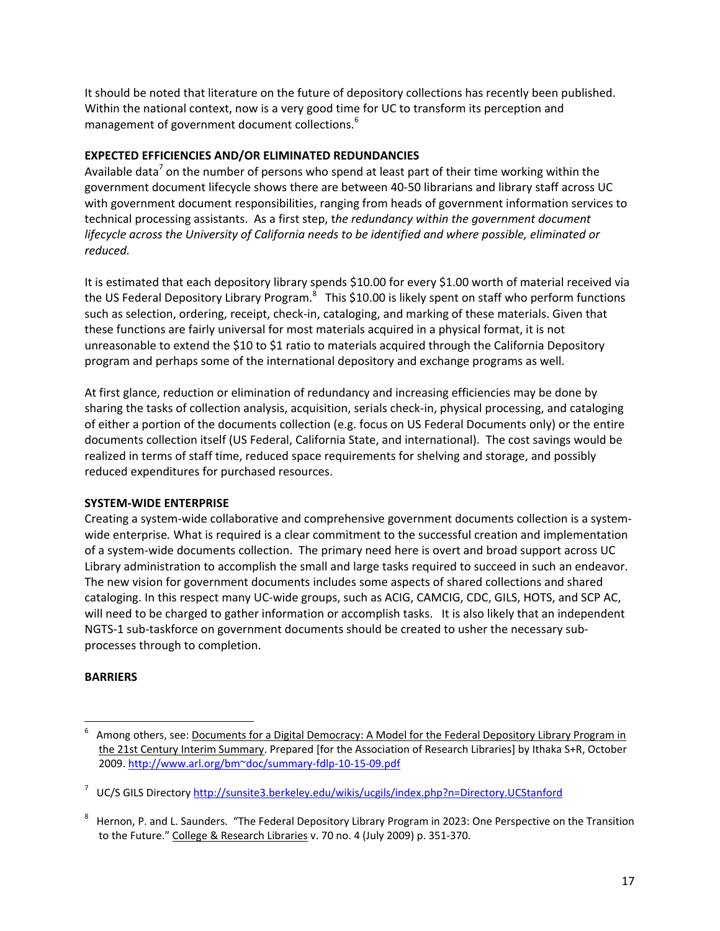It should be noted that literature on the future of depository collections has recently been published. Within the national context, now is a very good time for UC to transform its perception and management of government document collections.<sup>6</sup>

### **EXPECTED EFFICIENCIES AND/OR ELIMINATED REDUNDANCIES**

Available data<sup>7</sup> on the number of persons who spend at least part of their time working within the government document lifecycle shows there are between 40‐50 librarians and library staff across UC with government document responsibilities, ranging from heads of government information services to technical processing assistants. As a first step, t*he redundancy within the government document lifecycle across the University of California needs to be identified and where possible, eliminated or reduced.*

It is estimated that each depository library spends \$10.00 for every \$1.00 worth of material received via the US Federal Depository Library Program.<sup>8</sup> This \$10.00 is likely spent on staff who perform functions such as selection, ordering, receipt, check-in, cataloging, and marking of these materials. Given that these functions are fairly universal for most materials acquired in a physical format, it is not unreasonable to extend the \$10 to \$1 ratio to materials acquired through the California Depository program and perhaps some of the international depository and exchange programs as well.

At first glance, reduction or elimination of redundancy and increasing efficiencies may be done by sharing the tasks of collection analysis, acquisition, serials check‐in, physical processing, and cataloging of either a portion of the documents collection (e.g. focus on US Federal Documents only) or the entire documents collection itself (US Federal, California State, and international). The cost savings would be realized in terms of staff time, reduced space requirements for shelving and storage, and possibly reduced expenditures for purchased resources.

## **SYSTEM‐WIDE ENTERPRISE**

Creating a system‐wide collaborative and comprehensive government documents collection is a system‐ wide enterprise*.* What is required is a clear commitment to the successful creation and implementation of a system-wide documents collection. The primary need here is overt and broad support across UC Library administration to accomplish the small and large tasks required to succeed in such an endeavor. The new vision for government documents includes some aspects of shared collections and shared cataloging. In this respect many UC‐wide groups, such as ACIG, CAMCIG, CDC, GILS, HOTS, and SCP AC, will need to be charged to gather information or accomplish tasks. It is also likely that an independent NGTS‐1 sub‐taskforce on government documents should be created to usher the necessary sub‐ processes through to completion.

## **BARRIERS**

<sup>6</sup> Among others, see: Documents for a Digital Democracy: A Model for the Federal Depository Library Program in the 21st Century Interim Summary. Prepared [for the Association of Research Libraries] by Ithaka S+R, October 2009. http://www.arl.org/bm~doc/summary‐fdlp‐10‐15‐09.pdf

<sup>&</sup>lt;sup>7</sup> UC/S GILS Directory <u>http://sunsite3.berkeley.edu/wikis/ucgils/index.php?n=Directory.UCStanford</u>

<sup>8</sup> Hernon, P. and L. Saunders. "The Federal Depository Library Program in 2023: One Perspective on the Transition to the Future." College & Research Libraries v. 70 no. 4 (July 2009) p. 351‐370.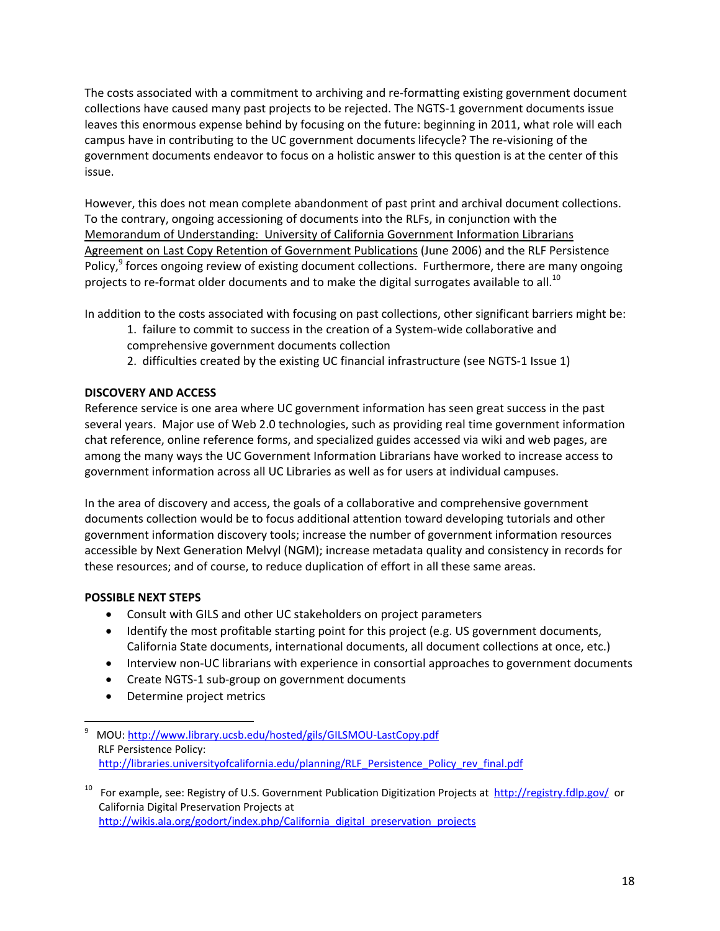The costs associated with a commitment to archiving and re-formatting existing government document collections have caused many past projects to be rejected. The NGTS‐1 government documents issue leaves this enormous expense behind by focusing on the future: beginning in 2011, what role will each campus have in contributing to the UC government documents lifecycle? The re‐visioning of the government documents endeavor to focus on a holistic answer to this question is at the center of this issue.

However, this does not mean complete abandonment of past print and archival document collections. To the contrary, ongoing accessioning of documents into the RLFs, in conjunction with the Memorandum of Understanding: University of California Government Information Librarians Agreement on Last Copy Retention of Government Publications (June 2006) and the RLF Persistence Policy, $9$  forces ongoing review of existing document collections. Furthermore, there are many ongoing projects to re-format older documents and to make the digital surrogates available to all.<sup>10</sup>

In addition to the costs associated with focusing on past collections, other significant barriers might be:

- 1. failure to commit to success in the creation of a System‐wide collaborative and
- comprehensive government documents collection
- 2. difficulties created by the existing UC financial infrastructure (see NGTS-1 Issue 1)

### **DISCOVERY AND ACCESS**

Reference service is one area where UC government information has seen great success in the past several years. Major use of Web 2.0 technologies, such as providing real time government information chat reference, online reference forms, and specialized guides accessed via wiki and web pages, are among the many ways the UC Government Information Librarians have worked to increase access to government information across all UC Libraries as well as for users at individual campuses.

In the area of discovery and access, the goals of a collaborative and comprehensive government documents collection would be to focus additional attention toward developing tutorials and other government information discovery tools; increase the number of government information resources accessible by Next Generation Melvyl (NGM); increase metadata quality and consistency in records for these resources; and of course, to reduce duplication of effort in all these same areas.

## **POSSIBLE NEXT STEPS**

- Consult with GILS and other UC stakeholders on project parameters
- Identify the most profitable starting point for this project (e.g. US government documents, California State documents, international documents, all document collections at once, etc.)
- Interview non-UC librarians with experience in consortial approaches to government documents
- Create NGTS‐1 sub‐group on government documents
- Determine project metrics

 9 MOU: http://www.library.ucsb.edu/hosted/gils/GILSMOU‐LastCopy.pdf RLF Persistence Policy: http://libraries.universityofcalifornia.edu/planning/RLF\_Persistence\_Policy\_rev\_final.pdf

<sup>&</sup>lt;sup>10</sup> For example, see: Registry of U.S. Government Publication Digitization Projects at http://registry.fdlp.gov/ or California Digital Preservation Projects at http://wikis.ala.org/godort/index.php/California\_digital\_preservation\_projects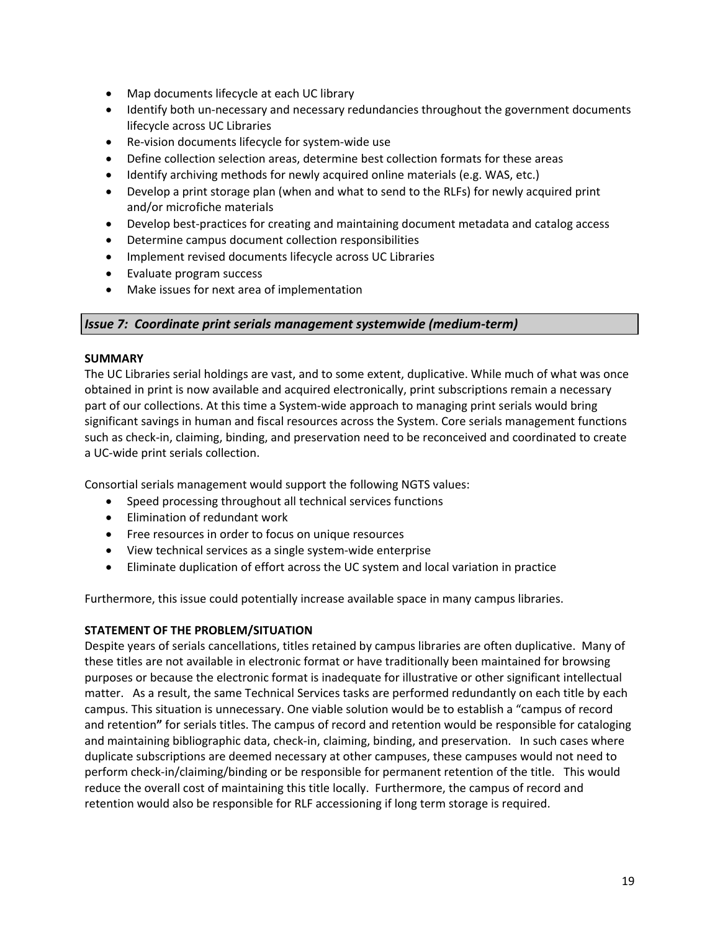- Map documents lifecycle at each UC library
- Identify both un-necessary and necessary redundancies throughout the government documents lifecycle across UC Libraries
- Re-vision documents lifecycle for system-wide use
- Define collection selection areas, determine best collection formats for these areas
- Identify archiving methods for newly acquired online materials (e.g. WAS, etc.)
- Develop a print storage plan (when and what to send to the RLFs) for newly acquired print and/or microfiche materials
- Develop best‐practices for creating and maintaining document metadata and catalog access
- Determine campus document collection responsibilities
- Implement revised documents lifecycle across UC Libraries
- Evaluate program success
- Make issues for next area of implementation

### *Issue 7: Coordinate print serials management systemwide (medium‐term)*

### **SUMMARY**

The UC Libraries serial holdings are vast, and to some extent, duplicative. While much of what was once obtained in print is now available and acquired electronically, print subscriptions remain a necessary part of our collections. At this time a System-wide approach to managing print serials would bring significant savings in human and fiscal resources across the System. Core serials management functions such as check‐in, claiming, binding, and preservation need to be reconceived and coordinated to create a UC‐wide print serials collection.

Consortial serials management would support the following NGTS values:

- Speed processing throughout all technical services functions
- Elimination of redundant work
- Free resources in order to focus on unique resources
- View technical services as a single system‐wide enterprise
- Eliminate duplication of effort across the UC system and local variation in practice

Furthermore, this issue could potentially increase available space in many campus libraries.

### **STATEMENT OF THE PROBLEM/SITUATION**

Despite years of serials cancellations, titles retained by campus libraries are often duplicative. Many of these titles are not available in electronic format or have traditionally been maintained for browsing purposes or because the electronic format is inadequate for illustrative or other significant intellectual matter. As a result, the same Technical Services tasks are performed redundantly on each title by each campus. This situation is unnecessary. One viable solution would be to establish a "campus of record and retention**"** for serials titles. The campus of record and retention would be responsible for cataloging and maintaining bibliographic data, check-in, claiming, binding, and preservation. In such cases where duplicate subscriptions are deemed necessary at other campuses, these campuses would not need to perform check-in/claiming/binding or be responsible for permanent retention of the title. This would reduce the overall cost of maintaining this title locally. Furthermore, the campus of record and retention would also be responsible for RLF accessioning if long term storage is required.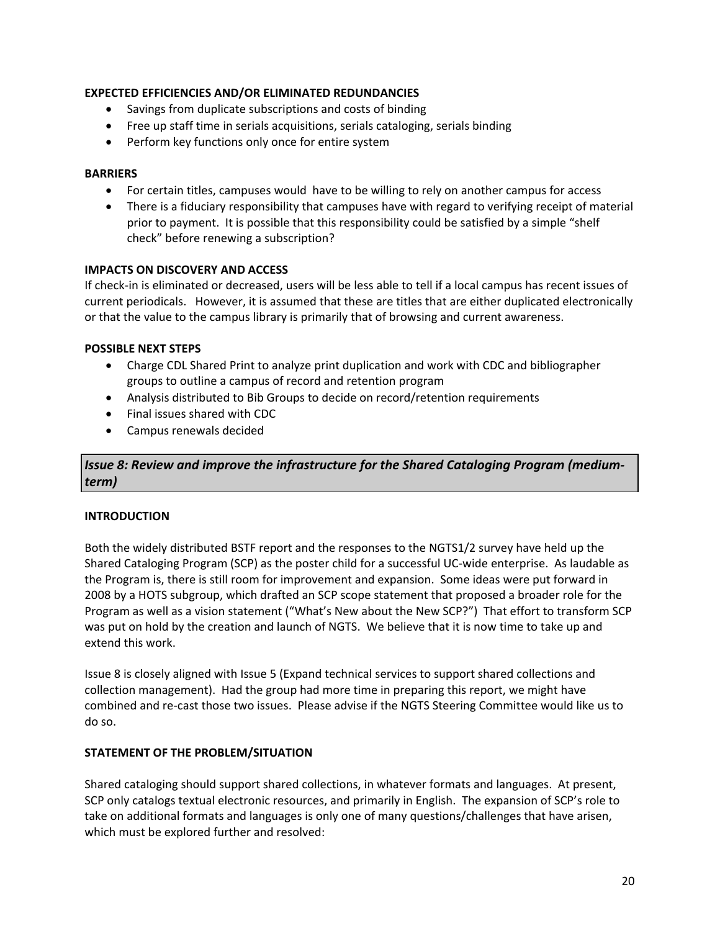### **EXPECTED EFFICIENCIES AND/OR ELIMINATED REDUNDANCIES**

- Savings from duplicate subscriptions and costs of binding
- Free up staff time in serials acquisitions, serials cataloging, serials binding
- Perform key functions only once for entire system

### **BARRIERS**

- For certain titles, campuses would have to be willing to rely on another campus for access
- There is a fiduciary responsibility that campuses have with regard to verifying receipt of material prior to payment. It is possible that this responsibility could be satisfied by a simple "shelf check" before renewing a subscription?

### **IMPACTS ON DISCOVERY AND ACCESS**

If check‐in is eliminated or decreased, users will be less able to tell if a local campus has recent issues of current periodicals. However, it is assumed that these are titles that are either duplicated electronically or that the value to the campus library is primarily that of browsing and current awareness.

### **POSSIBLE NEXT STEPS**

- Charge CDL Shared Print to analyze print duplication and work with CDC and bibliographer groups to outline a campus of record and retention program
- Analysis distributed to Bib Groups to decide on record/retention requirements
- Final issues shared with CDC
- Campus renewals decided

*Issue 8: Review and improve the infrastructure for the Shared Cataloging Program (medium‐ term)*

### **INTRODUCTION**

Both the widely distributed BSTF report and the responses to the NGTS1/2 survey have held up the Shared Cataloging Program (SCP) as the poster child for a successful UC‐wide enterprise. As laudable as the Program is, there is still room for improvement and expansion. Some ideas were put forward in 2008 by a HOTS subgroup, which drafted an SCP scope statement that proposed a broader role for the Program as well as a vision statement ("What's New about the New SCP?") That effort to transform SCP was put on hold by the creation and launch of NGTS. We believe that it is now time to take up and extend this work.

Issue 8 is closely aligned with Issue 5 (Expand technical services to support shared collections and collection management). Had the group had more time in preparing this report, we might have combined and re-cast those two issues. Please advise if the NGTS Steering Committee would like us to do so.

### **STATEMENT OF THE PROBLEM/SITUATION**

Shared cataloging should support shared collections, in whatever formats and languages. At present, SCP only catalogs textual electronic resources, and primarily in English. The expansion of SCP's role to take on additional formats and languages is only one of many questions/challenges that have arisen, which must be explored further and resolved: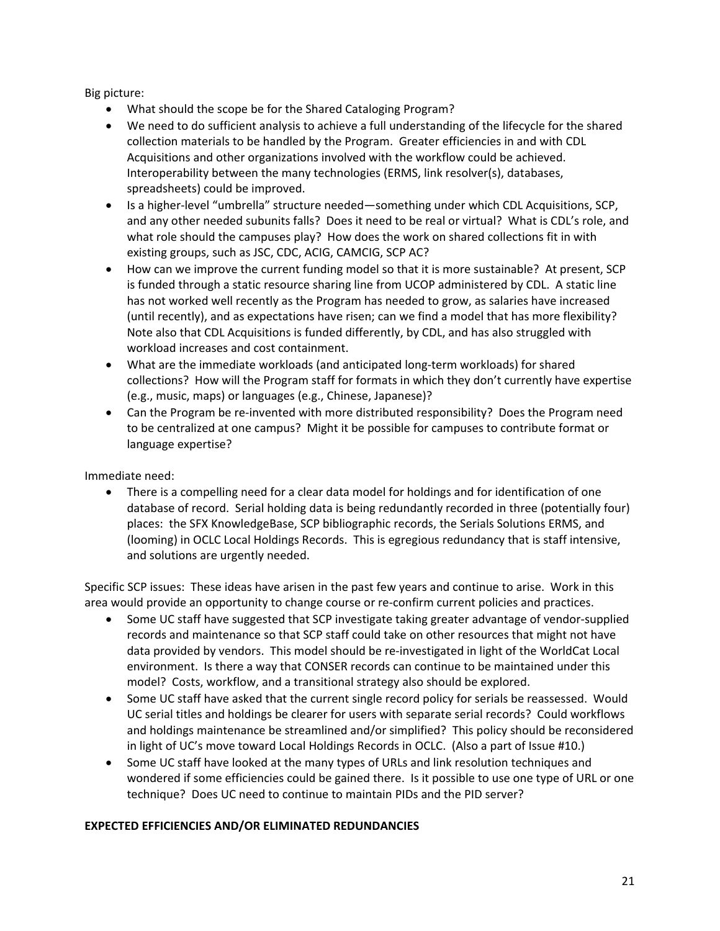Big picture:

- What should the scope be for the Shared Cataloging Program?
- We need to do sufficient analysis to achieve a full understanding of the lifecycle for the shared collection materials to be handled by the Program. Greater efficiencies in and with CDL Acquisitions and other organizations involved with the workflow could be achieved. Interoperability between the many technologies (ERMS, link resolver(s), databases, spreadsheets) could be improved.
- Is a higher‐level "umbrella" structure needed—something under which CDL Acquisitions, SCP, and any other needed subunits falls? Does it need to be real or virtual? What is CDL's role, and what role should the campuses play? How does the work on shared collections fit in with existing groups, such as JSC, CDC, ACIG, CAMCIG, SCP AC?
- How can we improve the current funding model so that it is more sustainable? At present, SCP is funded through a static resource sharing line from UCOP administered by CDL. A static line has not worked well recently as the Program has needed to grow, as salaries have increased (until recently), and as expectations have risen; can we find a model that has more flexibility? Note also that CDL Acquisitions is funded differently, by CDL, and has also struggled with workload increases and cost containment.
- What are the immediate workloads (and anticipated long‐term workloads) for shared collections? How will the Program staff for formats in which they don't currently have expertise (e.g., music, maps) or languages (e.g., Chinese, Japanese)?
- Can the Program be re-invented with more distributed responsibility? Does the Program need to be centralized at one campus? Might it be possible for campuses to contribute format or language expertise?

Immediate need:

• There is a compelling need for a clear data model for holdings and for identification of one database of record. Serial holding data is being redundantly recorded in three (potentially four) places: the SFX KnowledgeBase, SCP bibliographic records, the Serials Solutions ERMS, and (looming) in OCLC Local Holdings Records. This is egregious redundancy that is staff intensive, and solutions are urgently needed.

Specific SCP issues: These ideas have arisen in the past few years and continue to arise. Work in this area would provide an opportunity to change course or re-confirm current policies and practices.

- Some UC staff have suggested that SCP investigate taking greater advantage of vendor‐supplied records and maintenance so that SCP staff could take on other resources that might not have data provided by vendors. This model should be re‐investigated in light of the WorldCat Local environment. Is there a way that CONSER records can continue to be maintained under this model? Costs, workflow, and a transitional strategy also should be explored.
- Some UC staff have asked that the current single record policy for serials be reassessed. Would UC serial titles and holdings be clearer for users with separate serial records? Could workflows and holdings maintenance be streamlined and/or simplified? This policy should be reconsidered in light of UC's move toward Local Holdings Records in OCLC. (Also a part of Issue #10.)
- Some UC staff have looked at the many types of URLs and link resolution techniques and wondered if some efficiencies could be gained there. Is it possible to use one type of URL or one technique? Does UC need to continue to maintain PIDs and the PID server?

### **EXPECTED EFFICIENCIES AND/OR ELIMINATED REDUNDANCIES**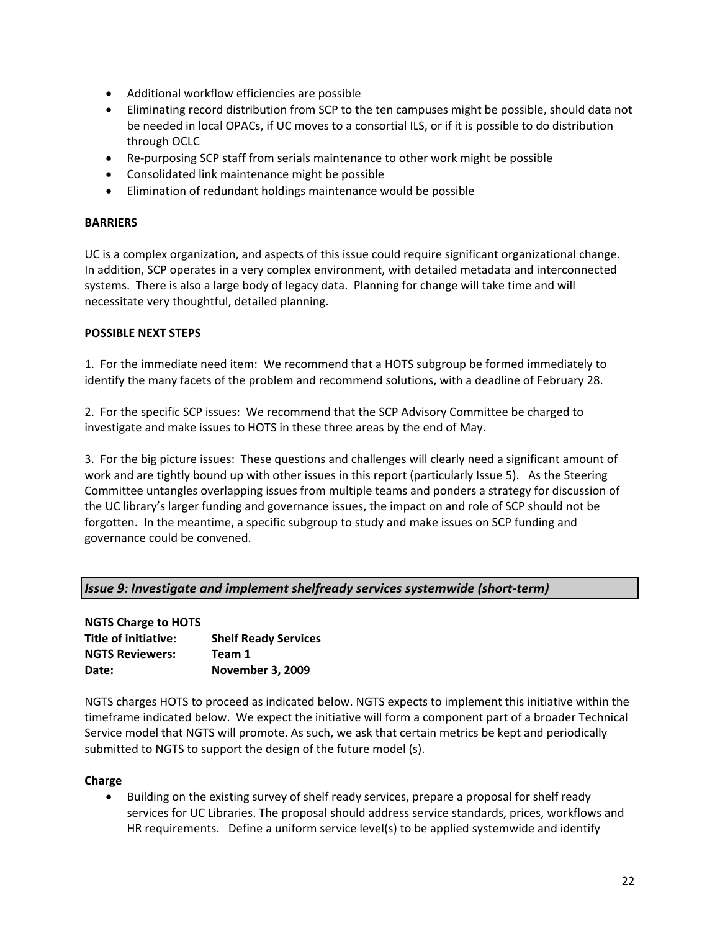- Additional workflow efficiencies are possible
- Eliminating record distribution from SCP to the ten campuses might be possible, should data not be needed in local OPACs, if UC moves to a consortial ILS, or if it is possible to do distribution through OCLC
- Re-purposing SCP staff from serials maintenance to other work might be possible
- Consolidated link maintenance might be possible
- Elimination of redundant holdings maintenance would be possible

### **BARRIERS**

UC is a complex organization, and aspects of this issue could require significant organizational change. In addition, SCP operates in a very complex environment, with detailed metadata and interconnected systems. There is also a large body of legacy data. Planning for change will take time and will necessitate very thoughtful, detailed planning.

### **POSSIBLE NEXT STEPS**

1. For the immediate need item: We recommend that a HOTS subgroup be formed immediately to identify the many facets of the problem and recommend solutions, with a deadline of February 28.

2. For the specific SCP issues: We recommend that the SCP Advisory Committee be charged to investigate and make issues to HOTS in these three areas by the end of May.

3. For the big picture issues: These questions and challenges will clearly need a significant amount of work and are tightly bound up with other issues in this report (particularly Issue 5). As the Steering Committee untangles overlapping issues from multiple teams and ponders a strategy for discussion of the UC library's larger funding and governance issues, the impact on and role of SCP should not be forgotten. In the meantime, a specific subgroup to study and make issues on SCP funding and governance could be convened.

### *Issue 9: Investigate and implement shelfready services systemwide (short‐term)*

| <b>NGTS Charge to HOTS</b> |                             |
|----------------------------|-----------------------------|
| Title of initiative:       | <b>Shelf Ready Services</b> |
| <b>NGTS Reviewers:</b>     | Team 1                      |
| Date:                      | <b>November 3, 2009</b>     |

NGTS charges HOTS to proceed as indicated below. NGTS expects to implement this initiative within the timeframe indicated below. We expect the initiative will form a component part of a broader Technical Service model that NGTS will promote. As such, we ask that certain metrics be kept and periodically submitted to NGTS to support the design of the future model (s).

#### **Charge**

• Building on the existing survey of shelf ready services, prepare a proposal for shelf ready services for UC Libraries. The proposal should address service standards, prices, workflows and HR requirements. Define a uniform service level(s) to be applied systemwide and identify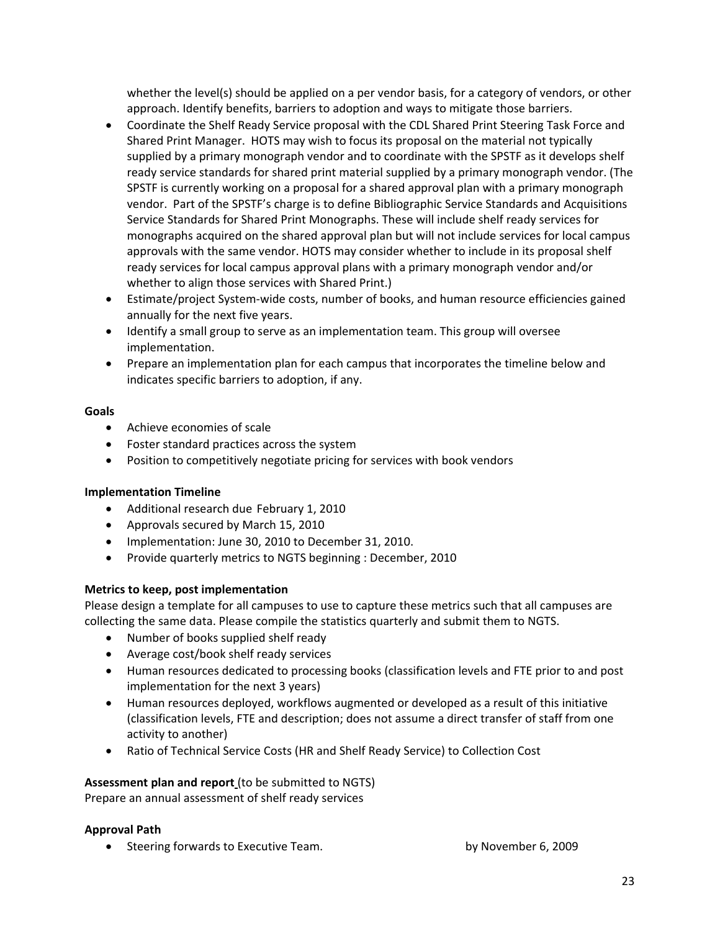whether the level(s) should be applied on a per vendor basis, for a category of vendors, or other approach. Identify benefits, barriers to adoption and ways to mitigate those barriers.

- Coordinate the Shelf Ready Service proposal with the CDL Shared Print Steering Task Force and Shared Print Manager. HOTS may wish to focus its proposal on the material not typically supplied by a primary monograph vendor and to coordinate with the SPSTF as it develops shelf ready service standards for shared print material supplied by a primary monograph vendor. (The SPSTF is currently working on a proposal for a shared approval plan with a primary monograph vendor. Part of the SPSTF's charge is to define Bibliographic Service Standards and Acquisitions Service Standards for Shared Print Monographs. These will include shelf ready services for monographs acquired on the shared approval plan but will not include services for local campus approvals with the same vendor. HOTS may consider whether to include in its proposal shelf ready services for local campus approval plans with a primary monograph vendor and/or whether to align those services with Shared Print.)
- Estimate/project System-wide costs, number of books, and human resource efficiencies gained annually for the next five years.
- Identify a small group to serve as an implementation team. This group will oversee implementation.
- Prepare an implementation plan for each campus that incorporates the timeline below and indicates specific barriers to adoption, if any.

### **Goals**

- Achieve economies of scale
- Foster standard practices across the system
- Position to competitively negotiate pricing for services with book vendors

## **Implementation Timeline**

- Additional research due February 1, 2010
- Approvals secured by March 15, 2010
- Implementation: June 30, 2010 to December 31, 2010.
- Provide quarterly metrics to NGTS beginning : December, 2010

## **Metrics to keep, post implementation**

Please design a template for all campuses to use to capture these metrics such that all campuses are collecting the same data. Please compile the statistics quarterly and submit them to NGTS.

- Number of books supplied shelf ready
- Average cost/book shelf ready services
- Human resources dedicated to processing books (classification levels and FTE prior to and post implementation for the next 3 years)
- Human resources deployed, workflows augmented or developed as a result of this initiative (classification levels, FTE and description; does not assume a direct transfer of staff from one activity to another)
- Ratio of Technical Service Costs (HR and Shelf Ready Service) to Collection Cost

## **Assessment plan and report** (to be submitted to NGTS)

Prepare an annual assessment of shelf ready services

## **Approval Path**

• Steering forwards to Executive Team. The state of the by November 6, 2009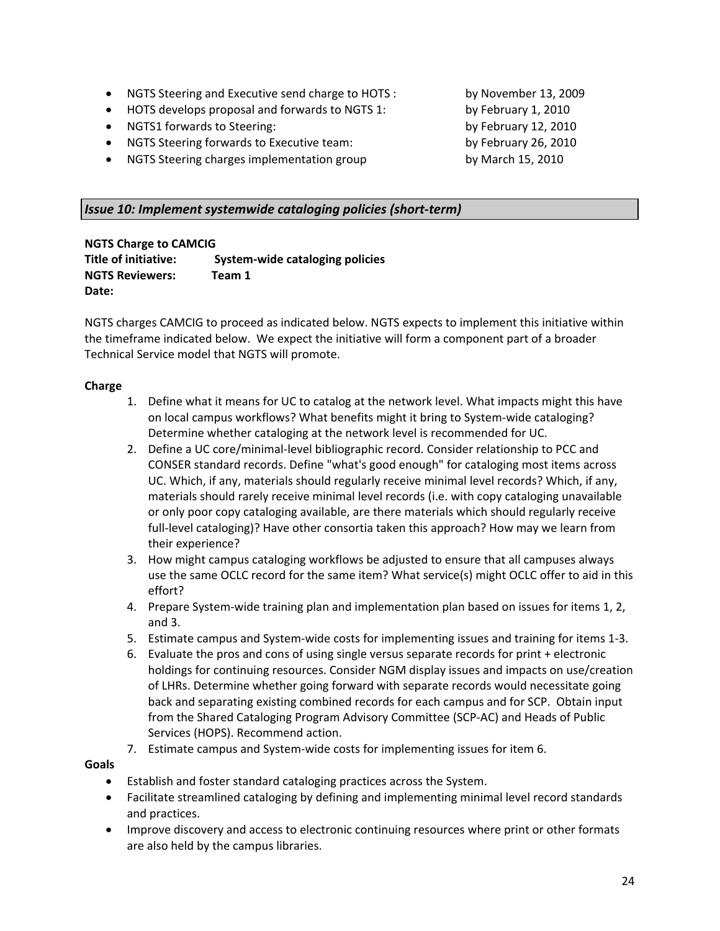- NGTS Steering and Executive send charge to HOTS : by November 13, 2009
- HOTS develops proposal and forwards to NGTS 1: by February 1, 2010
- NGTS1 forwards to Steering:  $\overline{a}$  by February 12, 2010
- NGTS Steering forwards to Executive team:  $\mu$  by February 26, 2010
- NGTS Steering charges implementation group by March 15, 2010

### *Issue 10: Implement systemwide cataloging policies (short‐term)*

**NGTS Charge to CAMCIG** 

**Title of initiative: System‐wide cataloging policies NGTS Reviewers: Team 1**  Date:

NGTS charges CAMCIG to proceed as indicated below. NGTS expects to implement this initiative within the timeframe indicated below. We expect the initiative will form a component part of a broader Technical Service model that NGTS will promote.

### **Charge**

- 1. Define what it means for UC to catalog at the network level. What impacts might this have on local campus workflows? What benefits might it bring to System-wide cataloging? Determine whether cataloging at the network level is recommended for UC.
- 2. Define a UC core/minimal-level bibliographic record. Consider relationship to PCC and CONSER standard records. Define "what's good enough" for cataloging most items across UC. Which, if any, materials should regularly receive minimal level records? Which, if any, materials should rarely receive minimal level records (i.e. with copy cataloging unavailable or only poor copy cataloging available, are there materials which should regularly receive full-level cataloging)? Have other consortia taken this approach? How may we learn from their experience?
- 3. How might campus cataloging workflows be adjusted to ensure that all campuses always use the same OCLC record for the same item? What service(s) might OCLC offer to aid in this effort?
- 4. Prepare System-wide training plan and implementation plan based on issues for items 1, 2, and 3.
- 5. Estimate campus and System-wide costs for implementing issues and training for items 1-3.
- 6. Evaluate the pros and cons of using single versus separate records for print + electronic holdings for continuing resources. Consider NGM display issues and impacts on use/creation of LHRs. Determine whether going forward with separate records would necessitate going back and separating existing combined records for each campus and for SCP. Obtain input from the Shared Cataloging Program Advisory Committee (SCP‐AC) and Heads of Public Services (HOPS). Recommend action.
- 7. Estimate campus and System-wide costs for implementing issues for item 6.

### **Goals**

- Establish and foster standard cataloging practices across the System.
- Facilitate streamlined cataloging by defining and implementing minimal level record standards and practices.
- Improve discovery and access to electronic continuing resources where print or other formats are also held by the campus libraries.